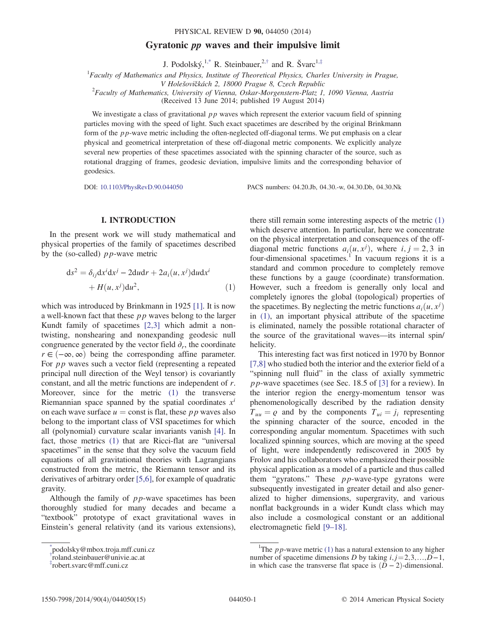# Gyratonic pp waves and their impulsive limit

J. Podolský,  $1$ ,  $*$  R. Steinbauer,  $2$ ,  $\dagger$  and R. Švarc $1$ ,  $\ddagger$ 

<span id="page-0-4"></span> ${}^{1}$ Faculty of Mathematics and Physics, Institute of Theoretical Physics, Charles University in Prague,

V Holešovičkách 2, 18000 Prague 8, Czech Republic<br><sup>2</sup>Faculty of Mathematics, University of Vienna, Oskar-Morgenstern-Platz 1, 1090 Vienna, Austria

(Received 13 June 2014; published 19 August 2014)

We investigate a class of gravitational  $pp$  waves which represent the exterior vacuum field of spinning particles moving with the speed of light. Such exact spacetimes are described by the original Brinkmann form of the  $pp$ -wave metric including the often-neglected off-diagonal terms. We put emphasis on a clear physical and geometrical interpretation of these off-diagonal metric components. We explicitly analyze several new properties of these spacetimes associated with the spinning character of the source, such as rotational dragging of frames, geodesic deviation, impulsive limits and the corresponding behavior of geodesics.

DOI: [10.1103/PhysRevD.90.044050](http://dx.doi.org/10.1103/PhysRevD.90.044050) PACS numbers: 04.20.Jb, 04.30.-w, 04.30.Db, 04.30.Nk

# I. INTRODUCTION

<span id="page-0-3"></span>In the present work we will study mathematical and physical properties of the family of spacetimes described by the (so-called) pp-wave metric

$$
ds2 = \delta_{ij}dxjdxj - 2dudr + 2ai(u, xj)dudxi + H(u, xj)du2,
$$
 (1)

which was introduced by Brinkmann in 1925 [\[1\]](#page-14-0). It is now a well-known fact that these pp waves belong to the larger Kundt family of spacetimes [\[2,3\]](#page-14-1) which admit a nontwisting, nonshearing and nonexpanding geodesic null congruence generated by the vector field  $\partial_r$ , the coordinate  $r \in (-\infty, \infty)$  being the corresponding affine parameter. For *pp* waves such a vector field (representing a repeated principal null direction of the Weyl tensor) is covariantly constant, and all the metric functions are independent of r. Moreover, since for the metric [\(1\)](#page-0-3) the transverse Riemannian space spanned by the spatial coordinates  $x^{i}$ on each wave surface  $u =$  const is flat, these pp waves also belong to the important class of VSI spacetimes for which all (polynomial) curvature scalar invariants vanish [\[4\].](#page-14-2) In fact, those metrics [\(1\)](#page-0-3) that are Ricci-flat are "universal spacetimes" in the sense that they solve the vacuum field equations of all gravitational theories with Lagrangians constructed from the metric, the Riemann tensor and its derivatives of arbitrary order [\[5,6\]](#page-14-3), for example of quadratic gravity.

Although the family of  $pp$ -wave spacetimes has been thoroughly studied for many decades and became a "textbook" prototype of exact gravitational waves in Einstein's general relativity (and its various extensions),

there still remain some interesting aspects of the metric [\(1\)](#page-0-3) which deserve attention. In particular, here we concentrate on the physical interpretation and consequences of the offdiagonal metric functions  $a_i(u, x^j)$ , where  $i, j = 2, 3$  in four-dimensional spacetimes <sup>1</sup> In vacuum regions it is a four-dimensional spacetimes.<sup>1</sup> In vacuum regions it is a standard and common procedure to completely remove these functions by a gauge (coordinate) transformation. However, such a freedom is generally only local and completely ignores the global (topological) properties of the spacetimes. By neglecting the metric functions  $a_i(u, x^j)$  $\lim_{n \to \infty} \frac{1}{n} \log n$  and  $\lim_{n \to \infty} \frac{1}{n} \log n$  in [\(1\)](#page-0-3), an important physical attribute of the spacetime is eliminated, namely the possible rotational character of the source of the gravitational waves—its internal spin/ helicity.

This interesting fact was first noticed in 1970 by Bonnor [\[7,8\]](#page-14-4) who studied both the interior and the exterior field of a "spinning null fluid" in the class of axially symmetric pp-wave spacetimes (see Sec. 18.5 of [\[3\]](#page-14-5) for a review). In the interior region the energy-momentum tensor was phenomenologically described by the radiation density  $T_{uu} = \varrho$  and by the components  $T_{ui} = j_i$  representing the spinning character of the source, encoded in the corresponding angular momentum. Spacetimes with such localized spinning sources, which are moving at the speed of light, were independently rediscovered in 2005 by Frolov and his collaborators who emphasized their possible physical application as a model of a particle and thus called them "gyratons." These  $pp$ -wave-type gyratons were subsequently investigated in greater detail and also generalized to higher dimensions, supergravity, and various nonflat backgrounds in a wider Kundt class which may also include a cosmological constant or an additional electromagnetic field [9–[18\].](#page-14-6)

<span id="page-0-0"></span>[<sup>\\*</sup>](#page-0-4) podolsky@mbox.troja.mff.cuni.cz

<span id="page-0-1"></span>[<sup>†</sup>](#page-0-4) roland.steinbauer@univie.ac.at

<span id="page-0-2"></span>[<sup>‡</sup>](#page-0-4) robert.svarc@mff.cuni.cz

<sup>&</sup>lt;sup>1</sup>The *pp*-wave metric [\(1\)](#page-0-3) has a natural extension to any higher of spacetime dimensions *D* by taking *i*, *i*=2,3,...,*D*-1. number of spacetime dimensions D by taking  $i, j = 2,3,...,D-1$ , in which case the transverse flat space is  $(D-2)$ -dimensional.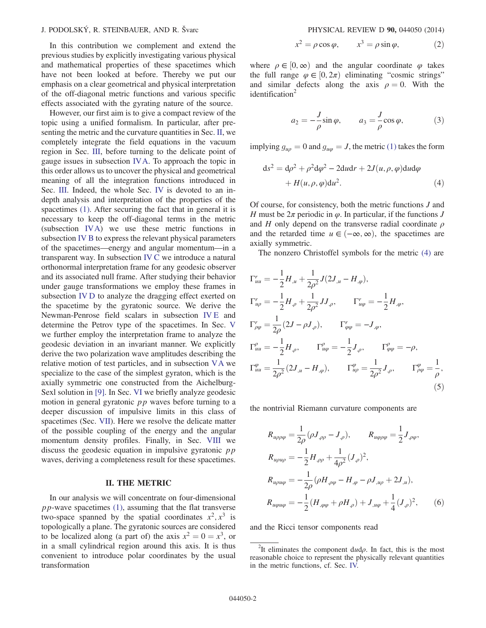In this contribution we complement and extend the previous studies by explicitly investigating various physical and mathematical properties of these spacetimes which have not been looked at before. Thereby we put our emphasis on a clear geometrical and physical interpretation of the off-diagonal metric functions and various specific effects associated with the gyrating nature of the source.

However, our first aim is to give a compact review of the topic using a unified formalism. In particular, after presenting the metric and the curvature quantities in Sec. [II](#page-1-0), we completely integrate the field equations in the vacuum region in Sec. [III,](#page-2-0) before turning to the delicate point of gauge issues in subsection [IVA.](#page-3-0) To approach the topic in this order allows us to uncover the physical and geometrical meaning of all the integration functions introduced in Sec. [III](#page-2-0). Indeed, the whole Sec. [IV](#page-3-1) is devoted to an indepth analysis and interpretation of the properties of the spacetimes [\(1\).](#page-0-3) After securing the fact that in general it is necessary to keep the off-diagonal terms in the metric (subsection [IVA](#page-3-0)) we use these metric functions in subsection [IV B](#page-4-0) to express the relevant physical parameters of the spacetimes—energy and angular momentum—in a transparent way. In subsection [IV C](#page-5-0) we introduce a natural orthonormal interpretation frame for any geodesic observer and its associated null frame. After studying their behavior under gauge transformations we employ these frames in subsection [IV D](#page-6-0) to analyze the dragging effect exerted on the spacetime by the gyratonic source. We derive the Newman-Penrose field scalars in subsection [IV E](#page-7-0) and determine the Petrov type of the spacetimes. In Sec. [V](#page-8-0) we further employ the interpretation frame to analyze the geodesic deviation in an invariant manner. We explicitly derive the two polarization wave amplitudes describing the relative motion of test particles, and in subsection [VA](#page-9-0) we specialize to the case of the simplest gyraton, which is the axially symmetric one constructed from the Aichelburg-Sexl solution in [\[9\].](#page-14-6) In Sec. [VI](#page-9-1) we briefly analyze geodesic motion in general gyratonic  $pp$  waves before turning to a deeper discussion of impulsive limits in this class of spacetimes (Sec. [VII](#page-10-0)). Here we resolve the delicate matter of the possible coupling of the energy and the angular momentum density profiles. Finally, in Sec. [VIII](#page-12-0) we discuss the geodesic equation in impulsive gyratonic  $pp$ waves, deriving a completeness result for these spacetimes.

# II. THE METRIC

<span id="page-1-5"></span><span id="page-1-0"></span>In our analysis we will concentrate on four-dimensional  $pp$ -wave spacetimes  $(1)$ , assuming that the flat transverse two-space spanned by the spatial coordinates  $x^2$ ,  $x^3$  is topologically a plane. The gyratonic sources are considered to be localized along (a part of) the axis  $x^2 = 0 = x^3$ , or in a small cylindrical region around this axis. It is thus convenient to introduce polar coordinates by the usual transformation

$$
x^2 = \rho \cos \varphi, \qquad x^3 = \rho \sin \varphi, \tag{2}
$$

<span id="page-1-4"></span>where  $\rho \in [0, \infty)$  and the angular coordinate  $\varphi$  takes the full range  $\varphi \in [0, 2\pi)$  eliminating "cosmic strings" and similar defects along the axis  $\rho = 0$ . With the  $identification<sup>2</sup>$ 

$$
a_2 = -\frac{J}{\rho}\sin\varphi, \qquad a_3 = \frac{J}{\rho}\cos\varphi,\tag{3}
$$

<span id="page-1-1"></span>implying  $g_{\mu\rho} = 0$  and  $g_{\mu\varphi} = J$ , the metric [\(1\)](#page-0-3) takes the form

$$
ds^{2} = d\rho^{2} + \rho^{2} d\varphi^{2} - 2du dr + 2J(u, \rho, \varphi) du d\varphi
$$
  
+  $H(u, \rho, \varphi) du^{2}$ . (4)

Of course, for consistency, both the metric functions J and H must be  $2\pi$  periodic in  $\varphi$ . In particular, if the functions J and H only depend on the transverse radial coordinate  $\rho$ and the retarded time  $u \in (-\infty, \infty)$ , the spacetimes are axially symmetric.

<span id="page-1-6"></span>The nonzero Christoffel symbols for the metric [\(4\)](#page-1-1) are

$$
\Gamma_{uu}^{r} = -\frac{1}{2}H_{,u} + \frac{1}{2\rho^{2}}J(2J_{,u} - H_{,\varphi}),
$$
\n
$$
\Gamma_{u\rho}^{r} = -\frac{1}{2}H_{,\rho} + \frac{1}{2\rho^{2}}JJ_{,\rho}, \qquad \Gamma_{u\varphi}^{r} = -\frac{1}{2}H_{,\varphi},
$$
\n
$$
\Gamma_{\rho\varphi}^{r} = \frac{1}{2\rho}(2J - \rho J_{,\rho}), \qquad \Gamma_{\varphi\varphi}^{r} = -J_{,\varphi},
$$
\n
$$
\Gamma_{uu}^{\rho} = -\frac{1}{2}H_{,\rho}, \qquad \Gamma_{u\varphi}^{\rho} = -\frac{1}{2}J_{,\rho}, \qquad \Gamma_{\varphi\varphi}^{\rho} = -\rho,
$$
\n
$$
\Gamma_{uu}^{\varphi} = \frac{1}{2\rho^{2}}(2J_{,u} - H_{,\varphi}), \qquad \Gamma_{u\rho}^{\varphi} = \frac{1}{2\rho^{2}}J_{,\rho}, \qquad \Gamma_{\rho\varphi}^{\varphi} = \frac{1}{\rho},
$$
\n(5)

<span id="page-1-3"></span>the nontrivial Riemann curvature components are

$$
R_{\mu\rho\rho\varphi} = \frac{1}{2\rho} (\rho J_{,\rho\rho} - J_{,\rho}), \qquad R_{\mu\varphi\rho\varphi} = \frac{1}{2} J_{,\rho\varphi},
$$
  
\n
$$
R_{\mu\rho\mu\rho} = -\frac{1}{2} H_{,\rho\rho} + \frac{1}{4\rho^2} (J_{,\rho})^2,
$$
  
\n
$$
R_{\mu\rho\mu\varphi} = -\frac{1}{2\rho} (\rho H_{,\rho\varphi} - H_{,\varphi} - \rho J_{,\mu\rho} + 2J_{,\mu}),
$$
  
\n
$$
R_{\mu\varphi\mu\varphi} = -\frac{1}{2} (H_{,\varphi\varphi} + \rho H_{,\rho}) + J_{,\mu\varphi} + \frac{1}{4} (J_{,\rho})^2,
$$
 (6)

<span id="page-1-2"></span>and the Ricci tensor components read

<sup>&</sup>lt;sup>2</sup>It eliminates the component  $d\mu \partial \rho$ . In fact, this is the most sonable choice to represent the physically relevant quantities reasonable choice to represent the physically relevant quantities in the metric functions, cf. Sec. [IV.](#page-3-1)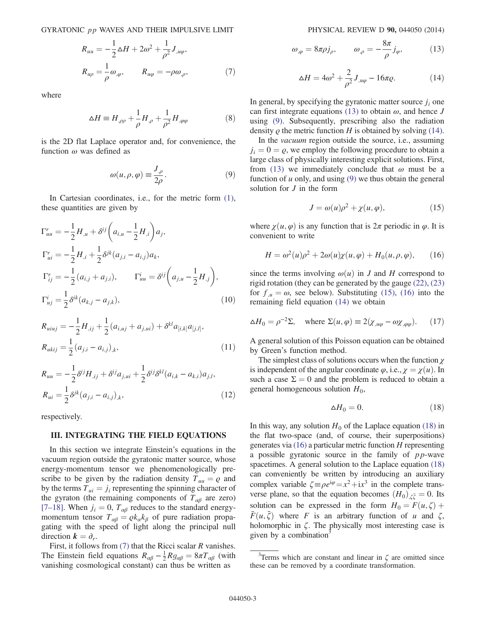$$
R_{uu} = -\frac{1}{2}\Delta H + 2\omega^2 + \frac{1}{\rho^2}J_{,\mu\varphi},
$$
  
\n
$$
R_{u\rho} = \frac{1}{\rho}\omega_{,\varphi}, \qquad R_{u\varphi} = -\rho\omega_{,\rho},
$$
\n(7)

where

$$
\Delta H \equiv H_{,\rho\rho} + \frac{1}{\rho} H_{,\rho} + \frac{1}{\rho^2} H_{,\rho\varphi}
$$
 (8)

<span id="page-2-2"></span>is the 2D flat Laplace operator and, for convenience, the function  $\omega$  was defined as

$$
\omega(u,\rho,\varphi) \equiv \frac{J_{,\rho}}{2\rho}.\tag{9}
$$

<span id="page-2-8"></span>In Cartesian coordinates, i.e., for the metric form [\(1\)](#page-0-3), these quantities are given by

$$
\Gamma_{uu}^{r} = -\frac{1}{2}H_{,u} + \delta^{ij}\left(a_{i,u} - \frac{1}{2}H_{,i}\right)a_j,
$$
\n
$$
\Gamma_{ui}^{r} = -\frac{1}{2}H_{,i} + \frac{1}{2}\delta^{jk}(a_{j,i} - a_{i,j})a_k,
$$
\n
$$
\Gamma_{ij}^{r} = -\frac{1}{2}(a_{i,j} + a_{j,i}), \qquad \Gamma_{uu}^{i} = \delta^{ij}\left(a_{j,u} - \frac{1}{2}H_{,j}\right),
$$
\n
$$
\Gamma_{uj}^{i} = \frac{1}{2}\delta^{ik}(a_{k,j} - a_{j,k}),
$$
\n(10)

$$
R_{uiuj} = -\frac{1}{2}H_{,ij} + \frac{1}{2}(a_{i,uj} + a_{j,ui}) + \delta^{kl}a_{[i,k]}a_{[j,l]},
$$
  

$$
R_{ukij} = \frac{1}{2}(a_{j,i} - a_{i,j})_{,k},
$$
 (11)

$$
R_{uu} = -\frac{1}{2}\delta^{ij}H_{,ij} + \delta^{ij}a_{j,ui} + \frac{1}{2}\delta^{ij}\delta^{kl}(a_{i,k} - a_{k,i})a_{j,l},
$$
  
\n
$$
R_{ui} = \frac{1}{2}\delta^{jk}(a_{j,i} - a_{i,j})_{,k},
$$
\n(12)

respectively.

# <span id="page-2-0"></span>III. INTEGRATING THE FIELD EQUATIONS

In this section we integrate Einstein's equations in the vacuum region outside the gyratonic matter source, whose energy-momentum tensor we phenomenologically prescribe to be given by the radiation density  $T_{uu} = \varrho$  and by the terms  $T_{ui} = j_i$  representing the spinning character of the gyraton (the remaining components of  $T_{\alpha\beta}$  are zero) [7–[18\].](#page-14-4) When  $j_i = 0$ ,  $T_{\alpha\beta}$  reduces to the standard energymomentum tensor  $T_{\alpha\beta} = \varrho k_{\alpha} k_{\beta}$  of pure radiation propagating with the speed of light along the principal null direction  $k = \partial_r$ .

<span id="page-2-1"></span>First, it follows from  $(7)$  that the Ricci scalar R vanishes. The Einstein field equations  $R_{\alpha\beta} - \frac{1}{2}Rg_{\alpha\beta} = 8\pi T_{\alpha\beta}$  (with vanishing cosmological constant) can thus be written as vanishing cosmological constant) can thus be written as

$$
\omega_{,\varphi} = 8\pi\rho j_{\rho}, \qquad \omega_{,\rho} = -\frac{8\pi}{\rho} j_{\varphi}, \qquad (13)
$$

$$
\Delta H = 4\omega^2 + \frac{2}{\rho^2} J_{,\mu\varphi} - 16\pi \varrho. \tag{14}
$$

<span id="page-2-3"></span>In general, by specifying the gyratonic matter source  $j_i$  one can first integrate equations [\(13\)](#page-2-1) to obtain  $\omega$ , and hence J using [\(9\).](#page-2-2) Subsequently, prescribing also the radiation density  $\rho$  the metric function H is obtained by solving [\(14\)](#page-2-3).

<span id="page-2-4"></span>In the vacuum region outside the source, i.e., assuming  $j_i = 0 = \varrho$ , we employ the following procedure to obtain a large class of physically interesting explicit solutions. First, from [\(13\)](#page-2-1) we immediately conclude that  $\omega$  must be a function of  $u$  only, and using  $(9)$  we thus obtain the general solution for  $J$  in the form

$$
J = \omega(u)\rho^2 + \chi(u,\varphi), \tag{15}
$$

<span id="page-2-5"></span>where  $\chi(u, \varphi)$  is any function that is  $2\pi$  periodic in  $\varphi$ . It is convenient to write

$$
H = \omega^{2}(u)\rho^{2} + 2\omega(u)\chi(u,\varphi) + H_{0}(u,\rho,\varphi), \qquad (16)
$$

<span id="page-2-9"></span>since the terms involving  $\omega(u)$  in J and H correspond to rigid rotation (they can be generated by the gauge [\(22\),](#page-3-2) [\(23\)](#page-3-3) for  $f_{\mu} = \omega$ , see below). Substituting [\(15\)](#page-2-4), [\(16\)](#page-2-5) into the remaining field equation [\(14\)](#page-2-3) we obtain

$$
\Delta H_0 = \rho^{-2} \Sigma, \quad \text{where } \Sigma(u, \varphi) \equiv 2(\chi_{,u\varphi} - \omega \chi_{,\varphi\varphi}). \tag{17}
$$

A general solution of this Poisson equation can be obtained by Green's function method.

<span id="page-2-6"></span>The simplest class of solutions occurs when the function  $\chi$ is independent of the angular coordinate  $\varphi$ , i.e.,  $\chi = \chi(u)$ . In such a case  $\Sigma = 0$  and the problem is reduced to obtain a general homogeneous solution  $H_0$ ,

$$
\Delta H_0 = 0. \tag{18}
$$

In this way, any solution  $H_0$  of the Laplace equation [\(18\)](#page-2-6) in the flat two-space (and, of course, their superpositions) generates via  $(16)$  a particular metric function H representing a possible gyratonic source in the family of  $pp$ -wave spacetimes. A general solution to the Laplace equation [\(18\)](#page-2-6) can conveniently be written by introducing an auxiliary complex variable  $\zeta \equiv \rho e^{i\varphi} = x^2 + ix^3$  in the complete transverse plane, so that the equation becomes  $(H_0)_{\xi\bar{\zeta}} = 0$ . Its<br>colution can be expressed in the form  $H = E(x, \zeta)$ . solution can be expressed in the form  $H_0 = F(u, \zeta)$  +  $\bar{F}(u, \bar{\zeta})$  where F is an arbitrary function of u and  $\zeta$ ,<br>holomorphic in  $\zeta$ . The physically most interesting case is holomorphic in  $\zeta$ . The physically most interesting case is given by a combination<sup>3</sup>

<span id="page-2-7"></span> $3$ Terms which are constant and linear in  $\zeta$  are omitted since these can be removed by a coordinate transformation.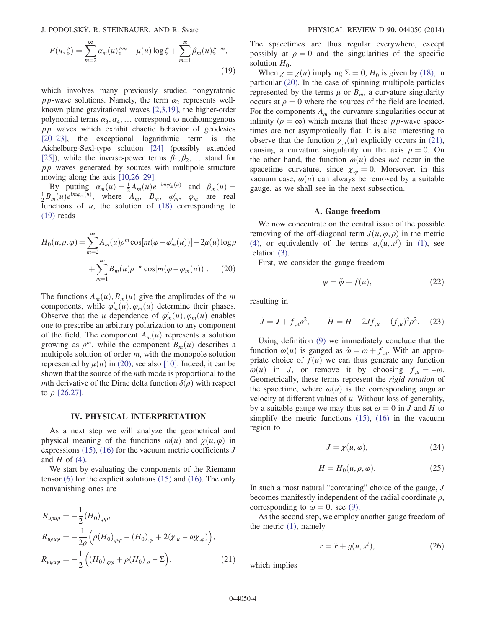J. PODOLSKÝ, R. STEINBAUER, AND R. Švarc PHYSICAL REVIEW D 90, 044050 (2014)

$$
F(u,\zeta) = \sum_{m=2}^{\infty} \alpha_m(u)\zeta^m - \mu(u)\log\zeta + \sum_{m=1}^{\infty} \beta_m(u)\zeta^{-m},\tag{19}
$$

which involves many previously studied nongyratonic *pp*-wave solutions. Namely, the term  $\alpha_2$  represents wellknown plane gravitational waves [\[2,3,19\]](#page-14-1), the higher-order polynomial terms  $\alpha_3, \alpha_4, \ldots$  correspond to nonhomogenous pp waves which exhibit chaotic behavior of geodesics [\[20](#page-14-7)–23], the exceptional logarithmic term is the Aichelburg-Sexl-type solution [\[24\]](#page-14-8) (possibly extended [\[25\]\)](#page-14-9), while the inverse-power terms  $\beta_1, \beta_2, \ldots$  stand for pp waves generated by sources with multipole structure moving along the axis [\[10,26](#page-14-10)–29].

<span id="page-3-4"></span>By putting  $\alpha_m(u) = \frac{1}{2} A_m(u) e^{-im\varphi_m(u)}$  and  $\beta_m(u) =$ <br>  $\alpha_m(u) e^{im\varphi_m(u)}$  where  $A$   $B$   $\alpha'$   $\alpha$  are real  $\frac{1}{2}B_m(u)e^{im\varphi_m(u)}$ , where  $A_m$ ,  $B_m$ ,  $\varphi'_m$ ,  $\varphi_m$  are real functions of u the solution of (18) corresponding to functions of  $u$ , the solution of  $(18)$  corresponding to [\(19\)](#page-2-7) reads

$$
H_0(u, \rho, \varphi) = \sum_{m=2}^{\infty} A_m(u) \rho^m \cos[m(\varphi - \varphi'_m(u))] - 2\mu(u) \log \rho + \sum_{m=1}^{\infty} B_m(u) \rho^{-m} \cos[m(\varphi - \varphi_m(u))].
$$
 (20)

The functions  $A_m(u)$ ,  $B_m(u)$  give the amplitudes of the m components, while  $\varphi'_m(u), \varphi_m(u)$  determine their phases.<br>Observe that the *u* dependence of  $\varphi'(u), \varphi_n(u)$  enables Observe that the *u* dependence of  $\varphi'_m(u), \varphi_m(u)$  enables<br>one to prescribe an arbitrary polarization to any component one to prescribe an arbitrary polarization to any component of the field. The component  $A_m(u)$  represents a solution growing as  $\rho^m$ , while the component  $B_m(u)$  describes a multipole solution of order  $m$ , with the monopole solution represented by  $\mu(u)$  in [\(20\)](#page-3-4), see also [\[10\]](#page-14-10). Indeed, it can be shown that the source of the *mth* mode is proportional to the *mth* derivative of the Dirac delta function  $\delta(\rho)$  with respect to  $\rho$  [\[26,27\]](#page-14-11).

#### IV. PHYSICAL INTERPRETATION

<span id="page-3-1"></span>As a next step we will analyze the geometrical and physical meaning of the functions  $\omega(u)$  and  $\chi(u, \varphi)$  in expressions  $(15)$ ,  $(16)$  for the vacuum metric coefficients J and  $H$  of [\(4\)](#page-1-1).

<span id="page-3-5"></span>We start by evaluating the components of the Riemann tensor [\(6\)](#page-1-3) for the explicit solutions [\(15\)](#page-2-4) and [\(16\)](#page-2-5). The only nonvanishing ones are

$$
R_{\mu\rho\mu\rho} = -\frac{1}{2} (H_0)_{,\rho\rho},
$$
  
\n
$$
R_{\mu\rho\mu\rho} = -\frac{1}{2\rho} \left( \rho (H_0)_{,\rho\rho} - (H_0)_{,\rho} + 2(\chi_{,\mu} - \omega \chi_{,\rho}) \right),
$$
  
\n
$$
R_{\mu\rho\mu\rho} = -\frac{1}{2} \left( (H_0)_{,\rho\rho} + \rho (H_0)_{,\rho} - \Sigma \right).
$$
 (21)

The spacetimes are thus regular everywhere, except possibly at  $\rho = 0$  and the singularities of the specific solution  $H_0$ .

When  $\chi = \chi(u)$  implying  $\Sigma = 0$ ,  $H_0$  is given by [\(18\),](#page-2-6) in particular [\(20\)](#page-3-4). In the case of spinning multipole particles represented by the terms  $\mu$  or  $B_m$ , a curvature singularity occurs at  $\rho = 0$  where the sources of the field are located. For the components  $A_m$  the curvature singularities occur at infinity ( $\rho = \infty$ ) which means that these pp-wave spacetimes are not asymptotically flat. It is also interesting to observe that the function  $\chi_u(u)$  explicitly occurs in [\(21\)](#page-3-5), causing a curvature singularity on the axis  $\rho = 0$ . On the other hand, the function  $\omega(u)$  does not occur in the spacetime curvature, since  $\chi_{,\varphi} = 0$ . Moreover, in this vacuum case,  $\omega(u)$  can always be removed by a suitable gauge, as we shall see in the next subsection.

### A. Gauge freedom

<span id="page-3-0"></span>We now concentrate on the central issue of the possible removing of the off-diagonal term  $J(u, \varphi, \rho)$  in the metric [\(4\)](#page-1-1), or equivalently of the terms  $a_i(u, x^j)$  in [\(1\)](#page-0-3), see relation (3) relation [\(3\)](#page-1-4).

<span id="page-3-2"></span>First, we consider the gauge freedom

$$
\varphi = \tilde{\varphi} + f(u),\tag{22}
$$

<span id="page-3-3"></span>resulting in

$$
\tilde{J} = J + f_{,\mu}\rho^2, \qquad \tilde{H} = H + 2Jf_{,\mu} + (f_{,\mu})^2 \rho^2. \tag{23}
$$

<span id="page-3-6"></span>Using definition [\(9\)](#page-2-2) we immediately conclude that the function  $\omega(u)$  is gauged as  $\tilde{\omega} = \omega + f_u$ . With an appropriate choice of  $f(u)$  we can thus generate any function  $\omega(u)$  in J, or remove it by choosing  $f_u = -\omega$ . Geometrically, these terms represent the rigid rotation of the spacetime, where  $\omega(u)$  is the corresponding angular velocity at different values of  $u$ . Without loss of generality, by a suitable gauge we may thus set  $\omega = 0$  in J and H to simplify the metric functions  $(15)$ ,  $(16)$  in the vacuum region to

$$
J = \chi(u, \varphi), \tag{24}
$$

$$
H = H_0(u, \rho, \varphi). \tag{25}
$$

<span id="page-3-9"></span>In such a most natural "corotating" choice of the gauge, J becomes manifestly independent of the radial coordinate  $\rho$ , corresponding to  $\omega = 0$ , see [\(9\)](#page-2-2).

<span id="page-3-8"></span>As the second step, we employ another gauge freedom of the metric [\(1\)](#page-0-3), namely

$$
r = \tilde{r} + g(u, x^i),\tag{26}
$$

<span id="page-3-7"></span>which implies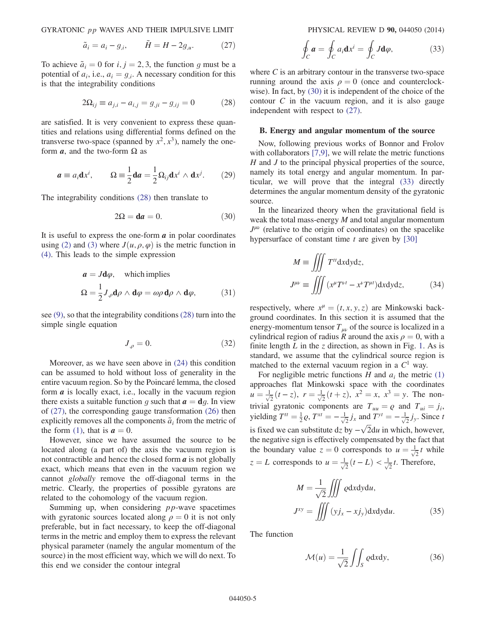$$
\tilde{a}_i = a_i - g_{i}, \qquad \tilde{H} = H - 2g_{u}.
$$
 (27)

<span id="page-4-1"></span>To achieve  $\tilde{a}_i = 0$  for  $i, j = 2, 3$ , the function g must be a potential of  $a_i$ , i.e.,  $a_i = g_i$ . A necessary condition for this is that the integrability conditions

$$
2\Omega_{ij} \equiv a_{j,i} - a_{i,j} = g_{,ji} - g_{,ij} = 0 \tag{28}
$$

<span id="page-4-5"></span>are satisfied. It is very convenient to express these quantities and relations using differential forms defined on the transverse two-space (spanned by  $x^2$ ,  $x^3$ ), namely the oneform  $\alpha$ , and the two-form  $\Omega$  as

$$
\mathbf{a} \equiv a_i \mathbf{d} x^i, \qquad \Omega \equiv \frac{1}{2} \mathbf{d} \mathbf{a} = \frac{1}{2} \Omega_{ij} \mathbf{d} x^i \wedge \mathbf{d} x^j. \qquad (29)
$$

<span id="page-4-2"></span>The integrability conditions [\(28\)](#page-4-1) then translate to

$$
2\Omega = \mathbf{d}\mathbf{a} = 0. \tag{30}
$$

<span id="page-4-4"></span>It is useful to express the one-form  $\boldsymbol{a}$  in polar coordinates using [\(2\)](#page-1-5) and [\(3\)](#page-1-4) where  $J(u, \rho, \varphi)$  is the metric function in [\(4\)](#page-1-1). This leads to the simple expression

$$
\mathbf{a} = J\mathbf{d}\varphi, \text{ which implies}
$$

$$
\Omega = \frac{1}{2}J_{,\rho}\mathbf{d}\rho \wedge \mathbf{d}\varphi = \omega\rho \mathbf{d}\rho \wedge \mathbf{d}\varphi, \qquad (31)
$$

<span id="page-4-7"></span>see [\(9\),](#page-2-2) so that the integrability conditions [\(28\)](#page-4-1) turn into the simple single equation

$$
J_{,\rho} = 0. \tag{32}
$$

Moreover, as we have seen above in [\(24\)](#page-3-6) this condition can be assumed to hold without loss of generality in the entire vacuum region. So by the Poincaré lemma, the closed form  $a$  is locally exact, i.e., locally in the vacuum region there exists a suitable function g such that  $a = d$ g. In view of [\(27\)](#page-3-7), the corresponding gauge transformation [\(26\)](#page-3-8) then explicitly removes all the components  $\tilde{a}_i$  from the metric of the form [\(1\)](#page-0-3), that is  $a = 0$ .

However, since we have assumed the source to be located along (a part of) the axis the vacuum region is not contractible and hence the closed form  $\boldsymbol{a}$  is not globally exact, which means that even in the vacuum region we cannot globally remove the off-diagonal terms in the metric. Clearly, the properties of possible gyratons are related to the cohomology of the vacuum region.

<span id="page-4-3"></span>Summing up, when considering  $pp$ -wave spacetimes with gyratonic sources located along  $\rho = 0$  it is not only preferable, but in fact necessary, to keep the off-diagonal terms in the metric and employ them to express the relevant physical parameter (namely the angular momentum of the source) in the most efficient way, which we will do next. To this end we consider the contour integral

$$
\oint_C \mathbf{a} = \oint_C a_i \mathbf{d} x^i = \oint_C J \mathbf{d} \varphi,\tag{33}
$$

where  $C$  is an arbitrary contour in the transverse two-space running around the axis  $\rho = 0$  (once and counterclockwise). In fact, by [\(30\)](#page-4-2) it is independent of the choice of the contour  $C$  in the vacuum region, and it is also gauge independent with respect to [\(27\).](#page-3-7)

## <span id="page-4-0"></span>B. Energy and angular momentum of the source

Now, following previous works of Bonnor and Frolov with collaborators [\[7,9\],](#page-14-4) we will relate the metric functions H and J to the principal physical properties of the source, namely its total energy and angular momentum. In particular, we will prove that the integral [\(33\)](#page-4-3) directly determines the angular momentum density of the gyratonic source.

In the linearized theory when the gravitational field is weak the total mass-energy  $M$  and total angular momentum  $J^{\mu\nu}$  (relative to the origin of coordinates) on the spacelike hypersurface of constant time  $t$  are given by [\[30\]](#page-14-12)

$$
M \equiv \iiint T^{tt} dxdydz,
$$
  

$$
J^{\mu\nu} \equiv \iiint (x^{\mu} T^{\nu t} - x^{\nu} T^{\mu t}) dxdydz,
$$
 (34)

respectively, where  $x^{\mu} = (t, x, y, z)$  are Minkowski background coordinates. In this section it is assumed that the energy-momentum tensor  $T_{\mu\nu}$  of the source is localized in a cylindrical region of radius R around the axis  $\rho = 0$ , with a finite length  $L$  in the  $\zeta$  direction, as shown in Fig. [1.](#page-5-1) As is standard, we assume that the cylindrical source region is matched to the external vacuum region in a  $C<sup>1</sup>$  way.

For negligible metric functions  $H$  and  $a_i$  the metric [\(1\)](#page-0-3) approaches flat Minkowski space with the coordinates  $u = \frac{1}{\sqrt{2}}(t - z)$ ,  $r = \frac{1}{\sqrt{2}}(t + z)$ ,  $x^2 = x$ ,  $x^3 = y$ . The nontrivial gyratonic components are  $T_{uu} = \rho$  and  $T_{ui} = j_i$ ,<br>vielding  $T^{tt} = \frac{1}{\rho} \rho T^{xt} = \frac{1}{\rho} i$  and  $T^{yt} = \frac{1}{\rho} i$ . Since the yielding  $T^{tt} = \frac{1}{2} \rho$ ,  $T^{xt} = -\frac{1}{\sqrt{2}} j_x$  and  $T^{yt} = -\frac{1}{\sqrt{2}} j_y$ . Since t is fixed we can substitute  $dz$  by  $-\sqrt{2}du$  in which, however, the negative sign is effectively compensated by the fact that the negative sign is effectively compensated by the fact that the boundary value  $z = 0$  corresponds to  $u = \frac{1}{\sqrt{2}}t$  while  $z = L$  corresponds to  $u = \frac{1}{\sqrt{2}}(t - L) < \frac{1}{\sqrt{2}}t$ . Therefore,

$$
M = \frac{1}{\sqrt{2}} \iiint \rho \, dx \, dy \, du,
$$
  

$$
J^{xy} = \iiint (y j_x - x j_y) \, dx \, dy \, du.
$$
 (35)

<span id="page-4-6"></span>The function

$$
\mathcal{M}(u) = \frac{1}{\sqrt{2}} \iint_{S} \varrho \, \mathrm{d}x \, \mathrm{d}y,\tag{36}
$$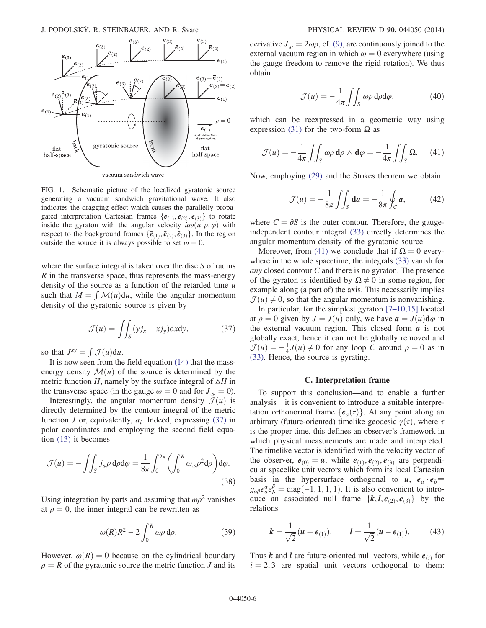J. PODOLSKÝ, R. STEINBAUER, AND R. Švarc PHYSICAL REVIEW D 90, 044050 (2014)

<span id="page-5-1"></span>

FIG. 1. Schematic picture of the localized gyratonic source generating a vacuum sandwich gravitational wave. It also indicates the dragging effect which causes the parallelly propagated interpretation Cartesian frames  $\{e_{(1)}, e_{(2)}, e_{(3)}\}$  to rotate inside the gyraton with the angular velocity  $\hat{u}\omega(u, \rho, \varphi)$  with respect to the background frames  $\{\bar{e}_{(1)}, \bar{e}_{(2)}, \bar{e}_{(3)}\}$ . In the region outside the source it is always possible to set  $\omega = 0$ .

<span id="page-5-2"></span>where the surface integral is taken over the disc  $S$  of radius R in the transverse space, thus represents the mass-energy density of the source as a function of the retarded time  $u$ such that  $M = \int M(u) du$ , while the angular momentum<br>density of the avectonic source is given by density of the gyratonic source is given by

$$
\mathcal{J}(u) = \iint_{S} (yj_x - xj_y) dxdy, \qquad (37)
$$

so that  $J^{xy} = \int \mathcal{J}(u) \mathrm{d}u$ .<br>It is now seen from the

It is now seen from the field equation [\(14\)](#page-2-3) that the massenergy density  $\mathcal{M}(u)$  of the source is determined by the metric function H, namely by the surface integral of  $\triangle H$  in the transverse space (in the gauge  $\omega = 0$  and for  $J_{\phi} = 0$ ).

Interestingly, the angular momentum density  $\mathcal{J}(u)$  is directly determined by the contour integral of the metric function J or, equivalently,  $a_i$ . Indeed, expressing [\(37\)](#page-5-2) in polar coordinates and employing the second field equation [\(13\)](#page-2-1) it becomes

$$
\mathcal{J}(u) = -\iint_{S} j_{\varphi} \rho \, d\rho d\varphi = \frac{1}{8\pi} \int_{0}^{2\pi} \left( \int_{0}^{R} \omega_{,\rho} \rho^{2} d\rho \right) d\varphi.
$$
\n(38)

Using integration by parts and assuming that  $\omega \rho^2$  vanishes at  $\rho = 0$ , the inner integral can be rewritten as

$$
\omega(R)R^2 - 2\int_0^R \omega \rho \,d\rho. \tag{39}
$$

However,  $\omega(R) = 0$  because on the cylindrical boundary  $\rho = R$  of the gyratonic source the metric function J and its derivative  $J_{\rho} = 2\omega\rho$ , cf. [\(9\),](#page-2-2) are continuously joined to the external vacuum region in which  $\omega = 0$  everywhere (using the gauge freedom to remove the rigid rotation). We thus obtain

$$
\mathcal{J}(u) = -\frac{1}{4\pi} \iint_{S} \omega \rho \, d\rho d\varphi, \tag{40}
$$

<span id="page-5-3"></span>which can be reexpressed in a geometric way using expression [\(31\)](#page-4-4) for the two-form  $Ω$  as

$$
\mathcal{J}(u) = -\frac{1}{4\pi} \iint_S \omega \rho \, \mathbf{d}\rho \wedge \mathbf{d}\varphi = -\frac{1}{4\pi} \iint_S \Omega. \tag{41}
$$

<span id="page-5-5"></span>Now, employing [\(29\)](#page-4-5) and the Stokes theorem we obtain

$$
\mathcal{J}(u) = -\frac{1}{8\pi} \iint_S \mathbf{d}a = -\frac{1}{8\pi} \oint_C a,\tag{42}
$$

where  $C = \partial S$  is the outer contour. Therefore, the gaugeindependent contour integral [\(33\)](#page-4-3) directly determines the angular momentum density of the gyratonic source.

Moreover, from [\(41\)](#page-5-3) we conclude that if  $\Omega = 0$  everywhere in the whole spacetime, the integrals [\(33\)](#page-4-3) vanish for any closed contour  $C$  and there is no gyraton. The presence of the gyraton is identified by  $\Omega \neq 0$  in some region, for example along (a part of) the axis. This necessarily implies  $\mathcal{J}(u) \neq 0$ , so that the angular momentum is nonvanishing.

In particular, for the simplest gyraton [7–[10,15\]](#page-14-4) located at  $\rho = 0$  given by  $J = J(u)$  only, we have  $a = J(u)d\varphi$  in the external vacuum region. This closed form  $\alpha$  is not globally exact, hence it can not be globally removed and  $\mathcal{J}(u) = -\frac{1}{4}J(u) \neq 0$  for any loop C around  $\rho = 0$  as in (33). Hence the source is given that [\(33\)](#page-4-3). Hence, the source is gyrating.

#### C. Interpretation frame

<span id="page-5-0"></span>To support this conclusion—and to enable a further analysis—it is convenient to introduce a suitable interpretation orthonormal frame  $\{e_{\alpha}(\tau)\}\$ . At any point along an arbitrary (future-oriented) timelike geodesic  $\gamma(\tau)$ , where  $\tau$ is the proper time, this defines an observer's framework in which physical measurements are made and interpreted. The timelike vector is identified with the velocity vector of the observer,  $e_{(0)} = u$ , while  $e_{(1)}, e_{(2)}, e_{(3)}$  are perpendicular spacelike unit vectors which form its local Cartesian basis in the hypersurface orthogonal to  $u$ ,  $e_a \cdot e_b \equiv$  $g_{\alpha\beta}e^{\alpha}_{\alpha}e^{\beta}_{\beta} = \text{diag}(-1, 1, 1, 1)$ . It is also convenient to intro-<br>duce an associated null frame  $\{k | \rho_{\alpha}, \rho_{\alpha}\}$  by the duce an associated null frame  ${k, l, e_{(2)}, e_{(3)}}$  by the relations relations

<span id="page-5-4"></span>
$$
k = \frac{1}{\sqrt{2}}(u + e_{(1)}), \qquad l = \frac{1}{\sqrt{2}}(u - e_{(1)}).
$$
 (43)

Thus k and l are future-oriented null vectors, while  $e_{(i)}$  for  $i = 2, 3$  are spatial unit vectors orthogonal to them: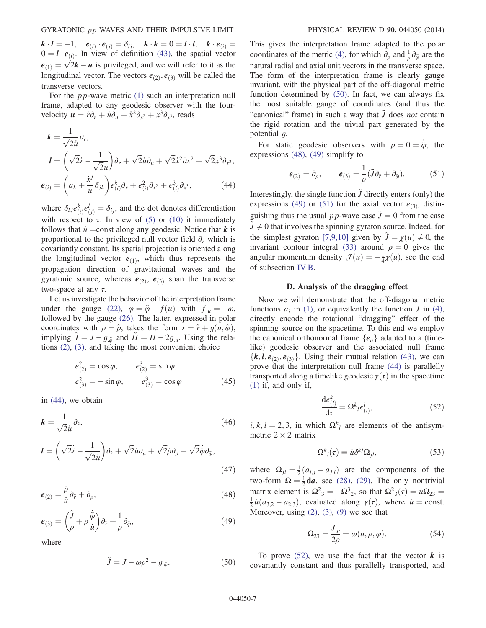$k \cdot l = -1, \quad e_{(i)} \cdot e_{(j)} = \delta_{ij}, \quad k \cdot k = 0 = l \cdot l, \quad k \cdot e_{(i)} = 0$  $0 = l \cdot e_{(i)}$ . In view of definition [\(43\),](#page-5-4) the spatial vector  $e_{(1)} = \sqrt{2k - u}$  is privileged, and we will refer to it as the longitudinal vector. The vectors  $e_{(1)}$ , will be called the longitudinal vector. The vectors  $e_{(2)}, e_{(3)}$  will be called the transverse vectors.

<span id="page-6-1"></span>For the  $pp$ -wave metric  $(1)$  such an interpretation null frame, adapted to any geodesic observer with the fourvelocity  $u = \dot{r}\partial_r + \dot{u}\partial_u + \dot{x}^2\partial_{x^2} + \dot{x}^3\partial_{x^3}$ , reads

$$
\mathbf{k} = \frac{1}{\sqrt{2}u} \partial_r,
$$
\n
$$
\mathbf{l} = \left(\sqrt{2}\dot{r} - \frac{1}{\sqrt{2}u}\right)\partial_r + \sqrt{2}u\partial_u + \sqrt{2}\dot{x}^2\partial_x^2 + \sqrt{2}\dot{x}^3\partial_x^3,
$$
\n
$$
\mathbf{e}_{(i)} = \left(a_k + \frac{\dot{x}^j}{\dot{u}}\delta_{jk}\right)e_{(i)}^k\partial_r + e_{(i)}^2\partial_x^2 + e_{(i)}^3\partial_x^3,
$$
\n(44)

where  $\delta_{kl}e_{(j)}^k e_{(j)}^l = \delta_{ij}$ , and the dot denotes differentiation<br>with geographic and  $\delta_{kl}$  is view of (5) or (10) it immediately with respect to  $\tau$ . In view of [\(5\)](#page-1-6) or [\(10\)](#page-2-8) it immediately follows that  $\dot{u}$  = const along any geodesic. Notice that  $k$  is proportional to the privileged null vector field  $\partial_r$  which is covariantly constant. Its spatial projection is oriented along the longitudinal vector  $e_{(1)}$ , which thus represents the propagation direction of gravitational waves and the gyratonic source, whereas  $e_{(2)}$ ,  $e_{(3)}$  span the transverse two-space at any  $\tau$ .

Let us investigate the behavior of the interpretation frame under the gauge [\(22\)](#page-3-2),  $\varphi = \tilde{\varphi} + f(u)$  with  $f_u = -\omega$ , followed by the gauge [\(26\).](#page-3-8) The latter, expressed in polar coordinates with  $\rho = \tilde{\rho}$ , takes the form  $r = \tilde{r} + g(u, \tilde{\varphi})$ , implying  $J = J - g_{\phi}$  and  $H = H - 2g_{\mu}$ . Using the relations [\(2\),](#page-1-5) [\(3\)](#page-1-4), and taking the most convenient choice

$$
e_{(2)}^2 = \cos \varphi
$$
,  $e_{(2)}^3 = \sin \varphi$ ,  
\n $e_{(3)}^2 = -\sin \varphi$ ,  $e_{(3)}^3 = \cos \varphi$  (45)

<span id="page-6-8"></span>in [\(44\)](#page-6-1), we obtain

$$
k = \frac{1}{\sqrt{2}\dot{u}} \partial_{\ddot{r}},\tag{46}
$$

$$
\mathbf{l} = \left(\sqrt{2}\dot{\tilde{r}} - \frac{1}{\sqrt{2}\dot{u}}\right)\partial_{\tilde{r}} + \sqrt{2}\dot{u}\partial_u + \sqrt{2}\dot{\rho}\partial_\rho + \sqrt{2}\dot{\tilde{\varphi}}\partial_{\tilde{\varphi}},
$$
\n(47)

<span id="page-6-3"></span>
$$
\boldsymbol{e}_{(2)} = \frac{\dot{\rho}}{\dot{u}} \partial_{\tilde{r}} + \partial_{\rho},\tag{48}
$$

<span id="page-6-4"></span>
$$
\boldsymbol{e}_{(3)} = \left(\frac{\tilde{\boldsymbol{J}}}{\rho} + \rho \frac{\dot{\tilde{\boldsymbol{\phi}}}}{\dot{\boldsymbol{i}}} \right) \partial_{\tilde{\boldsymbol{r}}} + \frac{1}{\rho} \partial_{\tilde{\boldsymbol{\phi}}},\tag{49}
$$

<span id="page-6-2"></span>where

$$
\tilde{J} = J - \omega \rho^2 - g_{,\tilde{\varphi}}.\tag{50}
$$

This gives the interpretation frame adapted to the polar coordinates of the metric [\(4\)](#page-1-1), for which  $\partial_{\rho}$  and  $\frac{1}{\rho} \partial_{\tilde{\varphi}}$  are the natural radial and axial unit vectors in the transverse space. The form of the interpretation frame is clearly gauge invariant, with the physical part of the off-diagonal metric function determined by [\(50\)](#page-6-2). In fact, we can always fix the most suitable gauge of coordinates (and thus the "canonical" frame) in such a way that  $\tilde{J}$  does not contain the rigid rotation and the trivial part generated by the potential g.

<span id="page-6-5"></span>For static geodesic observers with  $\dot{\rho} = 0 = \dot{\tilde{\varphi}}$ , the pressions (48) (49) simplify to expressions [\(48\)](#page-6-3), [\(49\)](#page-6-4) simplify to

$$
\boldsymbol{e}_{(2)} = \partial_{\rho}, \qquad \boldsymbol{e}_{(3)} = \frac{1}{\rho} (\tilde{J} \partial_{\tilde{r}} + \partial_{\tilde{\varphi}}). \tag{51}
$$

Interestingly, the single function  $\tilde{J}$  directly enters (only) the expressions [\(49\)](#page-6-4) or [\(51\)](#page-6-5) for the axial vector  $e_{(3)}$ , distinguishing thus the usual pp-wave case  $\ddot{J}=0$  from the case  $J \neq 0$  that involves the spinning gyraton source. Indeed, for the simplest gyraton [\[7,9,10\]](#page-14-4) given by  $\tilde{J} = \chi(u) \neq 0$ , the invariant contour integral [\(33\)](#page-4-3) around  $\rho = 0$  gives the angular momentum density  $\mathcal{J}(u) = -\frac{1}{4}\chi(u)$ , see the end<br>of subsection IV B of subsection [IV B.](#page-4-0)

### D. Analysis of the dragging effect

<span id="page-6-0"></span>Now we will demonstrate that the off-diagonal metric functions  $a_i$  in [\(1\)](#page-0-3), or equivalently the function J in [\(4\)](#page-1-1), directly encode the rotational "dragging" effect of the spinning source on the spacetime. To this end we employ the canonical orthonormal frame  ${e_a}$  adapted to a (timelike) geodesic observer and the associated null frame  $\{k, l, e_{(2)}, e_{(3)}\}$ . Using their mutual relation [\(43\)](#page-5-4), we can prove that the interpretation null frame [\(44\)](#page-6-1) is parallelly transported along a timelike geodesic  $\gamma(\tau)$  in the spacetime [\(1\)](#page-0-3) if, and only if,

$$
\frac{\mathrm{d}e_{(i)}^k}{\mathrm{d}\tau} = \Omega^k{}_l e_{(i)}^l,\tag{52}
$$

<span id="page-6-7"></span><span id="page-6-6"></span>i, k, l = 2, 3, in which  $\Omega^{k}$  are elements of the antisymmetric 2 × 2 matrix metric  $2 \times 2$  matrix

$$
\Omega^{k}_{l}(\tau) \equiv \dot{u}\delta^{kj}\Omega_{jl},\qquad(53)
$$

where  $\Omega_{jl} = \frac{1}{2} (a_{l,j} - a_{j,l})$  are the components of the two form  $\Omega = \frac{1}{2} \mathbf{d} \mathbf{z}$  (28) (29) The only portrivial two-form  $\Omega = \frac{1}{2} d\mathbf{a}$ , see [\(28\)](#page-4-1), [\(29\).](#page-4-5) The only nontrivial<br>metrix element is  $Q^2 = Q^3$ , so that  $Q^2(\mathbf{a}) = iQ$ . matrix element is  $\Omega^2$ <sub>3</sub> =  $-\Omega^3$ <sub>2</sub>, so that  $\Omega^2$ <sub>3</sub>( $\tau$ ) =  $\mu\Omega_{23}$  =  $\frac{1}{2}\mu$ (*a*<sub>23</sub> = *A*<sub>23</sub>) evaluated along  $\nu(\tau)$  where  $\mu$  = const  $\frac{1}{2}\dot{u}(a_{3,2} - a_{2,3})$ , evaluated along  $\gamma(\tau)$ , where  $\dot{u} = \text{const.}$ Moreover, using  $(2)$ ,  $(3)$ ,  $(9)$  we see that

$$
\Omega_{23} = \frac{J_{,\rho}}{2\rho} = \omega(u,\rho,\varphi). \tag{54}
$$

To prove  $(52)$ , we use the fact that the vector k is covariantly constant and thus parallelly transported, and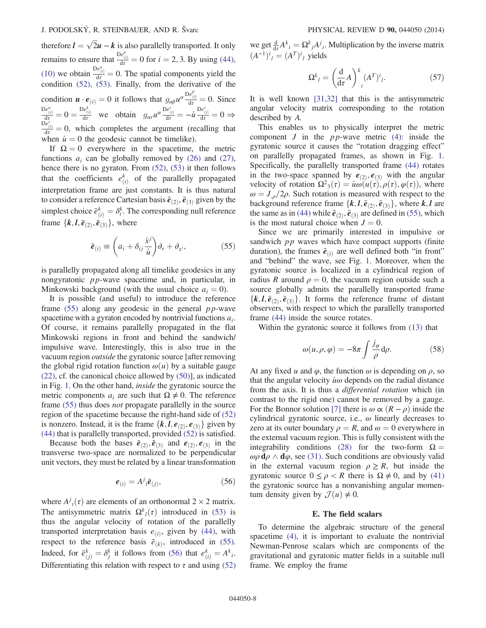therefore  $l = \sqrt{2}u - k$  is also parallelly transported. It only remains to ensure that  $\frac{De_{(i)}^{\mu}}{dt} = 0$  for  $i = 2, 3$ . By using [\(44\)](#page-6-1), [\(10\)](#page-2-8) we obtain  $\frac{De_{(i)}^{\mu}}{dr} = 0$ . The spatial components yield the condition [\(52\),](#page-6-6) [\(53\)](#page-6-7). Finally, from the derivative of the condition  $\mathbf{u} \cdot \mathbf{e}_{(i)} = 0$  it follows that  $g_{\alpha\beta}u^{\alpha} \frac{\mathrm{D}e_{(i)}^{\beta}}{\mathrm{d}\tau}$  $\frac{d\tau}{d\tau} = 0$ . Since  $\frac{De^{u}(i)}{1-\frac{u^{2}}{2}}$  $\frac{\partial e^\mu_{(i)}}{\mathrm{d}\tau}=0=\frac{\mathrm{D}e^\mu_{(i)}}{\mathrm{d}\tau}$ ðiÞ  $\frac{\partial e_{(i)}^k}{\partial \tau}$  we obtain  $g_{\alpha r} u^{\alpha} \frac{D e_{(i)}^k}{\partial \tau}$  $\frac{\text{De}_{(i)}^{\mu}}{\text{d}\tau} = 0 = \frac{\text{De}_{(i)}^{\mu}}{\text{d}\tau}$  we obtain  $g_{\alpha r} u^{\alpha} \frac{\text{De}_{(i)}^{\mu}}{\text{d}\tau} = -\dot{u} \frac{\text{De}_{(i)}^{\mu}}{\text{d}\tau} = 0 \Rightarrow$ <br> $\frac{\text{De}_{(i)}^{\mu}}{\text{d}\tau} = 0$ , which completes the argument (recalling that when  $\dot{u} = 0$  the geodesic cannot be timelike).

If  $\Omega = 0$  everywhere in the spacetime, the metric functions  $a_i$  can be globally removed by [\(26\)](#page-3-8) and [\(27\)](#page-3-7), hence there is no gyraton. From [\(52\),](#page-6-6) [\(53\)](#page-6-7) it then follows that the coefficients  $e_{(i)}^k$  of the parallelly propagated<br>intermediation from any just constants. It is thus not interpretation frame are just constants. It is thus natural to consider a reference Cartesian basis  $\bar{\mathbf{e}}_{(2)}, \bar{\mathbf{e}}_{(3)}$  given by the simplest choice  $\bar{e}_{(i)}^k = \delta_i^k$ . The corresponding null reference frame  $\{k, l, \bar{e}_{(2)}, \bar{e}_{(3)}\}$ , where

$$
\bar{e}_{(i)} \equiv \left( a_i + \delta_{ij} \frac{\dot{x}^j}{\dot{u}} \right) \partial_r + \partial_{x^i}, \tag{55}
$$

<span id="page-7-1"></span>is parallelly propagated along all timelike geodesics in any nongyratonic pp-wave spacetime and, in particular, in Minkowski background (with the usual choice  $a_i = 0$ ).

It is possible (and useful) to introduce the reference frame  $(55)$  along any geodesic in the general pp-wave spacetime with a gyraton encoded by nontrivial functions  $a_i$ . Of course, it remains parallelly propagated in the flat Minkowski regions in front and behind the sandwich/ impulsive wave. Interestingly, this is also true in the vacuum region outside the gyratonic source [after removing the global rigid rotation function  $\omega(u)$  by a suitable gauge [\(22\)](#page-3-2), cf. the canonical choice allowed by [\(50\)\]](#page-6-2), as indicated in Fig. [1.](#page-5-1) On the other hand, inside the gyratonic source the metric components  $a_i$  are such that  $\Omega \neq 0$ . The reference frame [\(55\)](#page-7-1) thus does *not* propagate parallelly in the source region of the spacetime because the right-hand side of [\(52\)](#page-6-6) is nonzero. Instead, it is the frame  $\{k, l, e_{(2)}, e_{(3)}\}$  given by [\(44\)](#page-6-1) that is parallelly transported, provided [\(52\)](#page-6-6) is satisfied.

<span id="page-7-2"></span>Because both the bases  $\bar{e}_{(2)}, \bar{e}_{(3)}$  and  $e_{(2)}, e_{(3)}$  in the transverse two-space are normalized to be perpendicular unit vectors, they must be related by a linear transformation

$$
\boldsymbol{e}_{(i)} = A^j{}_i \bar{\boldsymbol{e}}_{(j)},\tag{56}
$$

where  $A^{j}{}_{i}(\tau)$  are elements of an orthonormal  $2 \times 2$  matrix.<br>The antisymmetric matrix  $Q^{k}(\tau)$  introduced in (53) is The antisymmetric matrix  $\Omega^{k}{}_{l}(\tau)$  introduced in [\(53\)](#page-6-7) is<br>thus the angular velocity of rotation of the parallelly thus the angular velocity of rotation of the parallelly transported interpretation basis  $e_{(i)}$ , given by [\(44\)](#page-6-1), with respect to the reference basis  $\bar{e}_{(k)}$ , introduced in [\(55\)](#page-7-1). Indeed, for  $\bar{e}_{(j)}^k = \delta_j^k$  it follows from [\(56\)](#page-7-2) that  $e_{(i)}^k = A_k^k$ .<br>Differentiating this relation with respect to a end write (53) Differentiating this relation with respect to  $\tau$  and using [\(52\)](#page-6-6) we get  $\frac{d}{dt} A^k_i = \Omega^k{}_j A^j{}_i$ . Multiplication by the inverse matrix  $(A^{-1})^i_{l} = (A^{T})^i_{l}$  yields

$$
\Omega^{k}{}_{l} = \left(\frac{\mathrm{d}}{\mathrm{d}\tau}A\right)^{k}{}_{l}(A^{T})^{i}{}_{l}.\tag{57}
$$

It is well known [\[31,32\]](#page-14-13) that this is the antisymmetric angular velocity matrix corresponding to the rotation described by A.

This enables us to physically interpret the metric component  $J$  in the  $pp$ -wave metric [\(4\):](#page-1-1) inside the gyratonic source it causes the "rotation dragging effect" on parallelly propagated frames, as shown in Fig. [1](#page-5-1). Specifically, the parallelly transported frame [\(44\)](#page-6-1) rotates in the two-space spanned by  $e_{(2)}, e_{(3)}$  with the angular velocity of rotation  $\Omega^2_{3}(\tau) = i\omega(u(\tau), \rho(\tau), \varphi(\tau))$ , where  $\omega = L/2\rho$ . Such rotation is measured with respect to the  $\omega = J_{\rho}/2\rho$ . Such rotation is measured with respect to the background reference frame  $\{k, l, \bar{e}_{(2)}, \bar{e}_{(3)}\}$ , where k, l are the same as in [\(44\)](#page-6-1) while  $\bar{e}_{(2)}$ ,  $\bar{e}_{(3)}$  are defined in [\(55\),](#page-7-1) which is the most natural choice when  $J = 0$ .

Since we are primarily interested in impulsive or sandwich  $pp$  waves which have compact supports (finite duration), the frames  $\bar{e}_{(i)}$  are well defined both "in front" and "behind" the wave, see Fig. [1.](#page-5-1) Moreover, when the gyratonic source is localized in a cylindrical region of radius R around  $\rho = 0$ , the vacuum region outside such a source globally admits the parallelly transported frame  $\{k, l, \bar{e}_{(2)}, \bar{e}_{(3)}\}$ . It forms the reference frame of distant observers, with respect to which the parallelly transported frame [\(44\)](#page-6-1) inside the source rotates.

Within the gyratonic source it follows from [\(13\)](#page-2-1) that

$$
\omega(u,\rho,\varphi) = -8\pi \int \frac{j_{\varphi}}{\rho} d\rho.
$$
 (58)

At any fixed u and  $\varphi$ , the function  $\omega$  is depending on  $\rho$ , so that the angular velocity  $\dot{u}\omega$  depends on the radial distance from the axis. It is thus a differential rotation which (in contrast to the rigid one) cannot be removed by a gauge. For the Bonnor solution [\[7\]](#page-14-4) there is  $\omega \propto (R - \rho)$  inside the cylindrical gyratonic source, i.e.,  $\omega$  linearly decreases to zero at its outer boundary  $\rho = R$ , and  $\omega = 0$  everywhere in the external vacuum region. This is fully consistent with the integrability conditions [\(28\)](#page-4-1) for the two-form  $\Omega =$  $\omega \rho \, d\rho \wedge d\varphi$ , see [\(31\).](#page-4-4) Such conditions are obviously valid in the external vacuum region  $\rho \ge R$ , but inside the gyratonic source  $0 \le \rho < R$  there is  $\Omega \ne 0$ , and by [\(41\)](#page-5-3) the gyratonic source has a nonvanishing angular momentum density given by  $\mathcal{J}(u) \neq 0$ .

## E. The field scalars

<span id="page-7-0"></span>To determine the algebraic structure of the general spacetime [\(4\),](#page-1-1) it is important to evaluate the nontrivial Newman-Penrose scalars which are components of the gravitational and gyratonic matter fields in a suitable null frame. We employ the frame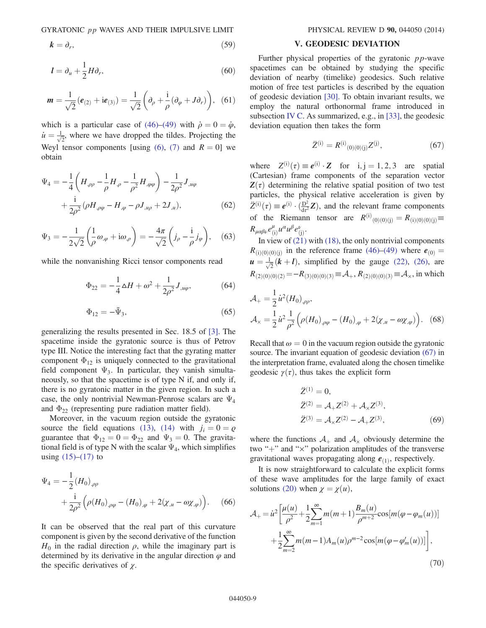$$
k = \partial_r,\tag{59}
$$

$$
l = \partial_u + \frac{1}{2} H \partial_r,\tag{60}
$$

$$
\mathbf{m} = \frac{1}{\sqrt{2}} (\mathbf{e}_{(2)} + i\mathbf{e}_{(3)}) = \frac{1}{\sqrt{2}} \left( \partial_{\rho} + \frac{i}{\rho} (\partial_{\phi} + J\partial_{r}) \right), (61)
$$

<span id="page-8-6"></span>which is a particular case of [\(46\)](#page-6-8)–[\(49\)](#page-6-4) with  $\dot{\rho} = 0 = \dot{\varphi}$ ,  $\dot{u} = \frac{1}{\sqrt{2}}$ , where we have dropped the tildes. Projecting the Weyl tensor components [using  $(6)$ ,  $(7)$  and  $R = 0$ ] we obtain

$$
\Psi_4 = -\frac{1}{4} \left( H_{,\rho\rho} - \frac{1}{\rho} H_{,\rho} - \frac{1}{\rho^2} H_{,\varphi\varphi} \right) - \frac{1}{2\rho^2} J_{,\mu\varphi} \n+ \frac{i}{2\rho^2} (\rho H_{,\rho\varphi} - H_{,\varphi} - \rho J_{,\mu\rho} + 2J_{,\mu}),
$$
\n(62)

$$
\Psi_3 = -\frac{1}{2\sqrt{2}} \left( \frac{1}{\rho} \omega_{,\varphi} + i \omega_{,\rho} \right) = -\frac{4\pi}{\sqrt{2}} \left( j_\rho - \frac{i}{\rho} j_\varphi \right), \quad (63)
$$

<span id="page-8-7"></span>while the nonvanishing Ricci tensor components read

$$
\Phi_{22} = -\frac{1}{4}\Delta H + \omega^2 + \frac{1}{2\rho^2}J_{,\mu\varphi},\tag{64}
$$

$$
\Phi_{12} = -\bar{\Psi}_3,\tag{65}
$$

generalizing the results presented in Sec. 18.5 of [\[3\].](#page-14-5) The spacetime inside the gyratonic source is thus of Petrov type III. Notice the interesting fact that the gyrating matter component  $\Phi_{12}$  is uniquely connected to the gravitational field component  $\Psi_3$ . In particular, they vanish simultaneously, so that the spacetime is of type N if, and only if, there is no gyratonic matter in the given region. In such a case, the only nontrivial Newman-Penrose scalars are  $\Psi_4$ and  $\Phi_{22}$  (representing pure radiation matter field).

<span id="page-8-5"></span>Moreover, in the vacuum region outside the gyratonic source the field equations [\(13\),](#page-2-1) [\(14\)](#page-2-3) with  $j_i = 0 = \rho$ guarantee that  $\Phi_{12} = 0 = \Phi_{22}$  and  $\Psi_3 = 0$ . The gravitational field is of type N with the scalar  $\Psi_4$ , which simplifies using  $(15)–(17)$  $(15)–(17)$  $(15)–(17)$  to

$$
\Psi_4 = -\frac{1}{2} (H_0)_{,\rho\rho} \n+ \frac{i}{2\rho^2} \Big( \rho (H_0)_{,\rho\varphi} - (H_0)_{,\varphi} + 2(\chi_{,\mu} - \omega \chi_{,\varphi}) \Big). \tag{66}
$$

It can be observed that the real part of this curvature component is given by the second derivative of the function  $H_0$  in the radial direction  $\rho$ , while the imaginary part is determined by its derivative in the angular direction  $\varphi$  and the specific derivatives of  $\chi$ .

## V. GEODESIC DEVIATION

<span id="page-8-0"></span>Further physical properties of the gyratonic  $pp$ -wave spacetimes can be obtained by studying the specific deviation of nearby (timelike) geodesics. Such relative motion of free test particles is described by the equation of geodesic deviation [\[30\].](#page-14-12) To obtain invariant results, we employ the natural orthonormal frame introduced in subsection [IV C](#page-5-0). As summarized, e.g., in [\[33\],](#page-14-14) the geodesic deviation equation then takes the form

$$
\ddot{Z}^{(i)} = R^{(i)}_{(0)(0)(j)} Z^{(j)}, \tag{67}
$$

<span id="page-8-1"></span>where  $Z^{(i)}(\tau) \equiv e^{(i)} \cdot Z$  for i, j = 1, 2, 3 are spatial (Cartesian) frame components of the separation vector (Cartesian) frame components of the separation vector  $Z(\tau)$  determining the relative spatial position of two test particles, the physical relative acceleration is given by  $Z^{(i)}(\tau) \equiv e^{(i)} \cdot (\frac{D^2}{dr^2} \mathbf{Z})$ , and the relevant frame components of the Riemann tensor are  $R^{(i)}(0)(0)(j) = R_{(i)}(0)(0)(j) \equiv R_{(i)}(0)(0)(j)$  $R_{\mu\alpha\beta\nu}e_{(i)}^{\mu}u^{\alpha}u^{\beta}e_{(j)}^{\nu}$ .<br>In view of (21)

In view of  $(21)$  with  $(18)$ , the only nontrivial components  $R_{(i)(0)(0)(i)}$  in the reference frame [\(46\)](#page-6-8)–[\(49\)](#page-6-4) where  $e_{(0)} =$  $u = \frac{1}{\sqrt{2}}(k+l)$ , simplified by the gauge [\(22\),](#page-3-2) [\(26\)](#page-3-8), are  $R_{(2)(0)(0)(2)} = -R_{(3)(0)(0)(3)} \equiv A_+, R_{(2)(0)(0)(3)} \equiv A_{\times}$ , in which

<span id="page-8-4"></span>
$$
\mathcal{A}_{+} = \frac{1}{2} \dot{u}^{2} (H_{0})_{,\rho\rho},
$$
  
\n
$$
\mathcal{A}_{\times} = \frac{1}{2} \dot{u}^{2} \frac{1}{\rho^{2}} \left( \rho (H_{0})_{,\rho\varphi} - (H_{0})_{,\varphi} + 2(\chi_{,\mu} - \omega \chi_{,\varphi}) \right). \quad (68)
$$

<span id="page-8-2"></span>Recall that  $\omega = 0$  in the vacuum region outside the gyratonic source. The invariant equation of geodesic deviation [\(67\)](#page-8-1) in the interpretation frame, evaluated along the chosen timelike geodesic  $\gamma(\tau)$ , thus takes the explicit form

$$
\ddot{Z}^{(1)} = 0,
$$
  
\n
$$
\ddot{Z}^{(2)} = A_{+} Z^{(2)} + A_{\times} Z^{(3)},
$$
  
\n
$$
\ddot{Z}^{(3)} = A_{\times} Z^{(2)} - A_{+} Z^{(3)},
$$
\n(69)

where the functions  $A_+$  and  $A_{\times}$  obviously determine the two " $+$ " and " $\times$ " polarization amplitudes of the transverse gravitational waves propagating along  $e_{(1)}$ , respectively.

<span id="page-8-3"></span>It is now straightforward to calculate the explicit forms of these wave amplitudes for the large family of exact solutions [\(20\)](#page-3-4) when  $\chi = \chi(u)$ ,

$$
\mathcal{A}_{+} = \dot{u}^{2} \left[ \frac{\mu(u)}{\rho^{2}} + \frac{1}{2} \sum_{m=1}^{\infty} m(m+1) \frac{B_{m}(u)}{\rho^{m+2}} \cos[m(\varphi - \varphi_{m}(u))]\n+ \frac{1}{2} \sum_{m=2}^{\infty} m(m-1) A_{m}(u) \rho^{m-2} \cos[m(\varphi - \varphi'_{m}(u))]\n\right],
$$
\n(70)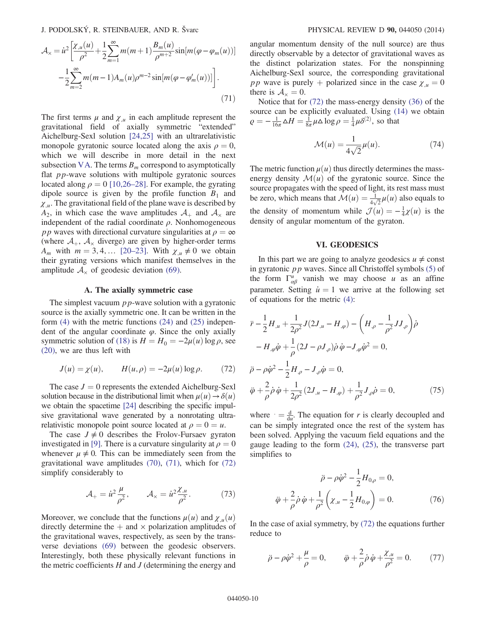<span id="page-9-2"></span>
$$
\mathcal{A}_{\times} = \dot{u}^2 \left[ \frac{\chi_{u}(u)}{\rho^2} + \frac{1}{2} \sum_{m=1}^{\infty} m(m+1) \frac{B_m(u)}{\rho^{m+2}} \sin[m(\varphi - \varphi_m(u))] - \frac{1}{2} \sum_{m=2}^{\infty} m(m-1) A_m(u) \rho^{m-2} \sin[m(\varphi - \varphi'_m(u))] \right].
$$
\n(71)

The first terms  $\mu$  and  $\chi_{,\mu}$  in each amplitude represent the gravitational field of axially symmetric "extended" Aichelburg-Sexl solution [\[24,25\]](#page-14-8) with an ultrarelativistic monopole gyratonic source located along the axis  $\rho = 0$ , which we will describe in more detail in the next subsection [VA.](#page-9-0) The terms  $B_m$  correspond to asymptotically flat  $pp$ -wave solutions with multipole gyratonic sources located along  $\rho = 0$  [\[10,26](#page-14-10)–28]. For example, the gyrating dipole source is given by the profile function  $B_1$  and  $\chi_{\mu}$ . The gravitational field of the plane wave is described by  $A_{\mu}$  in which case the wave applitudes  $A_{\mu}$  and  $A_{\mu}$  are  $A_2$ , in which case the wave amplitudes  $A_+$  and  $A_{\times}$  are independent of the radial coordinate  $\rho$ . Nonhomogeneous *pp* waves with directional curvature singularities at  $\rho = \infty$ (where  $A_+$ ,  $A_{\times}$  diverge) are given by higher-order terms  $A_m$  with  $m = 3, 4, \dots$  [20–[23\].](#page-14-7) With  $\chi_{\mu} \neq 0$  we obtain their gyrating versions which manifest themselves in the amplitude  $A_x$  of geodesic deviation [\(69\)](#page-8-2).

## A. The axially symmetric case

<span id="page-9-0"></span>The simplest vacuum *pp*-wave solution with a gyratonic source is the axially symmetric one. It can be written in the form [\(4\)](#page-1-1) with the metric functions [\(24\)](#page-3-6) and [\(25\)](#page-3-9) independent of the angular coordinate  $\varphi$ . Since the only axially symmetric solution of [\(18\)](#page-2-6) is  $H = H_0 = -2\mu(u)\log \rho$ , see [\(20\)](#page-3-4), we are thus left with

<span id="page-9-3"></span>
$$
J(u) = \chi(u), \qquad H(u,\rho) = -2\mu(u)\log\rho. \tag{72}
$$

The case  $J = 0$  represents the extended Aichelburg-Sexl solution because in the distributional limit when  $\mu(u) \rightarrow \delta(u)$ we obtain the spacetime [\[24\]](#page-14-8) describing the specific impulsive gravitational wave generated by a nonrotating ultrarelativistic monopole point source located at  $\rho = 0 = u$ .

<span id="page-9-5"></span>The case  $J \neq 0$  describes the Frolov-Fursaev gyraton investigated in [\[9\].](#page-14-6) There is a curvature singularity at  $\rho = 0$ whenever  $\mu \neq 0$ . This can be immediately seen from the gravitational wave amplitudes [\(70\)](#page-8-3), [\(71\)](#page-9-2), which for [\(72\)](#page-9-3) simplify considerably to

$$
\mathcal{A}_{+} = \dot{u}^2 \frac{\mu}{\rho^2}, \qquad \mathcal{A}_{\times} = \dot{u}^2 \frac{\chi_{,u}}{\rho^2}.
$$
 (73)

Moreover, we conclude that the functions  $\mu(u)$  and  $\chi_u(u)$ directly determine the  $+$  and  $\times$  polarization amplitudes of the gravitational waves, respectively, as seen by the transverse deviations [\(69\)](#page-8-2) between the geodesic observers. Interestingly, both these physically relevant functions in the metric coefficients  $H$  and  $J$  (determining the energy and angular momentum density of the null source) are thus directly observable by a detector of gravitational waves as the distinct polarization states. For the nonspinning Aichelburg-Sexl source, the corresponding gravitational pp wave is purely + polarized since in the case  $\chi_u = 0$ there is  $A_x = 0$ .

Notice that for [\(72\)](#page-9-3) the mass-energy density [\(36\)](#page-4-6) of the source can be explicitly evaluated. Using [\(14\)](#page-2-3) we obtain  $\rho = -\frac{1}{16\pi} \Delta H = \frac{1}{8\pi} \mu \Delta \log \rho = \frac{1}{4} \mu \delta^{(2)}$ , so that

$$
\mathcal{M}(u) = \frac{1}{4\sqrt{2}}\mu(u). \tag{74}
$$

The metric function  $\mu(u)$  thus directly determines the massenergy density  $\mathcal{M}(u)$  of the gyratonic source. Since the source propagates with the speed of light, its rest mass must be zero, which means that  $\mathcal{M}(u) = \frac{1}{4\sqrt{2}} \mu(u)$  also equals to the density of momentum while  $\mathcal{J}(u) = -\frac{1}{4}\chi(u)$  is the density of angular momentum of the gyrator density of angular momentum of the gyraton.

## VI. GEODESICS

<span id="page-9-1"></span>In this part we are going to analyze geodesics  $u \neq const$ in gyratonic  $pp$  waves. Since all Christoffel symbols  $(5)$  of the form  $\Gamma_{\alpha\beta}^u$  vanish we may choose u as an affine<br>nonemotor Setting  $\dot{u} = 1$  we exity at the following set parameter. Setting  $\dot{u} = 1$  we arrive at the following set of equations for the metric [\(4\):](#page-1-1)

$$
\ddot{r} - \frac{1}{2}H_{,\mu} + \frac{1}{2\rho^2}J(2J_{,\mu} - H_{,\varphi}) - \left(H_{,\rho} - \frac{1}{\rho^2}JJ_{,\rho}\right)\dot{\rho} \n- H_{,\varphi}\dot{\varphi} + \frac{1}{\rho}(2J - \rho J_{,\rho})\dot{\rho}\dot{\varphi} - J_{,\varphi}\dot{\varphi}^2 = 0, \n\ddot{\rho} - \rho\dot{\varphi}^2 - \frac{1}{2}H_{,\rho} - J_{,\rho}\dot{\varphi} = 0, \n\ddot{\varphi} + \frac{2}{\rho}\dot{\rho}\dot{\varphi} + \frac{1}{2\rho^2}(2J_{,\mu} - H_{,\varphi}) + \frac{1}{\rho^2}J_{,\rho}\dot{\rho} = 0,
$$
\n(75)

<span id="page-9-6"></span>where  $=$   $\frac{d}{du}$ . The equation for r is clearly decoupled and can be simply integrated once the rest of the system has can be simply integrated once the rest of the system has been solved. Applying the vacuum field equations and the gauge leading to the form [\(24\),](#page-3-6) [\(25\)](#page-3-9), the transverse part simplifies to

$$
\ddot{\rho} - \rho \dot{\phi}^2 - \frac{1}{2} H_{0,\rho} = 0,
$$
  

$$
\ddot{\phi} + \frac{2}{\rho} \dot{\rho} \dot{\phi} + \frac{1}{\rho^2} \left( \chi_{,\mu} - \frac{1}{2} H_{0,\rho} \right) = 0.
$$
 (76)

<span id="page-9-4"></span>In the case of axial symmetry, by [\(72\)](#page-9-3) the equations further reduce to

$$
\ddot{\rho} - \rho \dot{\phi}^2 + \frac{\mu}{\rho} = 0, \qquad \ddot{\phi} + \frac{2}{\rho} \dot{\rho} \dot{\phi} + \frac{\chi_{,\mu}}{\rho^2} = 0. \tag{77}
$$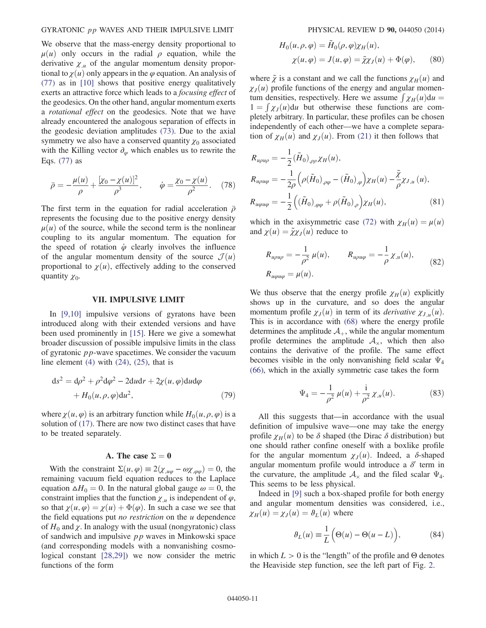We observe that the mass-energy density proportional to  $\mu(u)$  only occurs in the radial  $\rho$  equation, while the derivative  $\chi_{\mu}$  of the angular momentum density proportional to  $\chi(u)$  only appears in the  $\varphi$  equation. An analysis of [\(77\)](#page-9-4) as in [\[10\]](#page-14-10) shows that positive energy qualitatively exerts an attractive force which leads to a focusing effect of the geodesics. On the other hand, angular momentum exerts a *rotational effect* on the geodesics. Note that we have already encountered the analogous separation of effects in the geodesic deviation amplitudes [\(73\)](#page-9-5). Due to the axial symmetry we also have a conserved quantity  $\chi_0$  associated with the Killing vector  $\partial_{\varphi}$  which enables us to rewrite the Eqs. [\(77\)](#page-9-4) as

$$
\ddot{\rho} = -\frac{\mu(u)}{\rho} + \frac{[\chi_0 - \chi(u)]^2}{\rho^3}, \qquad \dot{\varphi} = \frac{\chi_0 - \chi(u)}{\rho^2}.
$$
 (78)

The first term in the equation for radial acceleration  $\ddot{\rho}$ represents the focusing due to the positive energy density  $\mu(u)$  of the source, while the second term is the nonlinear coupling to its angular momentum. The equation for the speed of rotation  $\dot{\varphi}$  clearly involves the influence of the angular momentum density of the source  $\mathcal{J}(u)$ proportional to  $\chi(u)$ , effectively adding to the conserved quantity  $\chi_0$ .

#### VII. IMPULSIVE LIMIT

<span id="page-10-0"></span>In [\[9,10\]](#page-14-6) impulsive versions of gyratons have been introduced along with their extended versions and have been used prominently in [\[15\].](#page-14-15) Here we give a somewhat broader discussion of possible impulsive limits in the class of gyratonic  $p p$ -wave spacetimes. We consider the vacuum line element  $(4)$  with  $(24)$ ,  $(25)$ , that is

<span id="page-10-4"></span>
$$
ds2 = d\rho2 + \rho2 d\varphi2 - 2dudr + 2\chi(u, \varphi) du d\varphi + H0(u, \rho, \varphi) du2,
$$
 (79)

<span id="page-10-3"></span>where  $\chi(u, \varphi)$  is an arbitrary function while  $H_0(u, \rho, \varphi)$  is a solution of [\(17\).](#page-2-9) There are now two distinct cases that have to be treated separately.

# A. The case  $\Sigma = 0$

<span id="page-10-1"></span>With the constraint  $\Sigma(u, \varphi) \equiv 2(\chi_{u\varphi} - \omega \chi_{,\varphi \varphi}) = 0$ , the remaining vacuum field equation reduces to the Laplace equation  $\Delta H_0 = 0$ . In the natural global gauge  $\omega = 0$ , the constraint implies that the function  $\chi_{\mu}$  is independent of  $\varphi$ , so that  $\chi(u, \varphi) = \chi(u) + \Phi(\varphi)$ . In such a case we see that the field equations put *no restriction* on the  $u$  dependence of  $H_0$  and  $\chi$ . In analogy with the usual (nongyratonic) class of sandwich and impulsive  $pp$  waves in Minkowski space (and corresponding models with a nonvanishing cosmological constant [\[28,29\]\)](#page-14-16) we now consider the metric functions of the form

$$
H_0(u, \rho, \varphi) = \tilde{H}_0(\rho, \varphi) \chi_H(u),
$$
  
 
$$
\chi(u, \varphi) = J(u, \varphi) = \tilde{\chi} \chi_J(u) + \Phi(\varphi), \qquad (80)
$$

where  $\tilde{\chi}$  is a constant and we call the functions  $\chi_H(u)$  and  $\chi_J(u)$  profile functions of the energy and angular momen-<br>turn densities respectively. Here we assume  $\int \chi_{\nu}(u) du$ tum densities, respectively. Here we assume  $\int \chi_H(u) du = 1 - \int \chi_H(u) du$  but otherwise these functions are com- $1 = \int \chi_J(u) \, \mathrm{d}u$  but otherwise these functions are com-<br>pletely arbitrary. In particular, these profiles can be chosen pletely arbitrary. In particular, these profiles can be chosen independently of each other—we have a complete separation of  $\chi_H(u)$  and  $\chi_J(u)$ . From [\(21\)](#page-3-5) it then follows that

<span id="page-10-5"></span>
$$
R_{\mu\rho\mu\rho} = -\frac{1}{2} (\tilde{H}_0)_{,\rho\rho} \chi_H(u),
$$
  
\n
$$
R_{\mu\rho\mu\varphi} = -\frac{1}{2\rho} \Big( \rho(\tilde{H}_0)_{,\rho\varphi} - (\tilde{H}_0)_{,\varphi} \Big) \chi_H(u) - \frac{\tilde{\chi}}{\rho} \chi_{J,\mu}(u),
$$
  
\n
$$
R_{\mu\varphi\mu\varphi} = -\frac{1}{2} \Big( (\tilde{H}_0)_{,\varphi\varphi} + \rho(\tilde{H}_0)_{,\rho} \Big) \chi_H(u),
$$
\n(81)

which in the axisymmetric case [\(72\)](#page-9-3) with  $\chi_H(u) = \mu(u)$ and  $\chi(u) = \tilde{\chi}\chi_J(u)$  reduce to

$$
R_{u\rho u\rho} = -\frac{1}{\rho^2} \mu(u), \qquad R_{u\rho u\rho} = -\frac{1}{\rho} \chi_{,u}(u),
$$
  
\n
$$
R_{u\rho u\rho} = \mu(u).
$$
 (82)

We thus observe that the energy profile  $\chi_H(u)$  explicitly shows up in the curvature, and so does the angular momentum profile  $\chi_J(u)$  in term of its *derivative*  $\chi_{J,u}(u)$ . This is in accordance with [\(68\)](#page-8-4) where the energy profile determines the amplitude  $A_{+}$ , while the angular momentum profile determines the amplitude  $A_{\times}$ , which then also contains the derivative of the profile. The same effect becomes visible in the only nonvanishing field scalar  $\Psi_4$ [\(66\),](#page-8-5) which in the axially symmetric case takes the form

$$
\Psi_4 = -\frac{1}{\rho^2} \mu(u) + \frac{i}{\rho^2} \chi_{,u}(u). \tag{83}
$$

All this suggests that—in accordance with the usual definition of impulsive wave—one may take the energy profile  $\chi_H(u)$  to be  $\delta$  shaped (the Dirac  $\delta$  distribution) but one should rather confine oneself with a boxlike profile for the angular momentum  $\chi_I(u)$ . Indeed, a  $\delta$ -shaped angular momentum profile would introduce a  $\delta'$  term in the curvature, the amplitude  $A_x$  and the filed scalar  $\Psi_4$ . This seems to be less physical.

<span id="page-10-2"></span>Indeed in [\[9\]](#page-14-6) such a box-shaped profile for both energy and angular momentum densities was considered, i.e.,  $\chi_H(u) = \chi_J(u) = \vartheta_L(u)$  where

$$
\vartheta_L(u) \equiv \frac{1}{L} \Big( \Theta(u) - \Theta(u - L) \Big), \tag{84}
$$

in which  $L > 0$  is the "length" of the profile and  $\Theta$  denotes the Heaviside step function, see the left part of Fig. [2.](#page-11-0)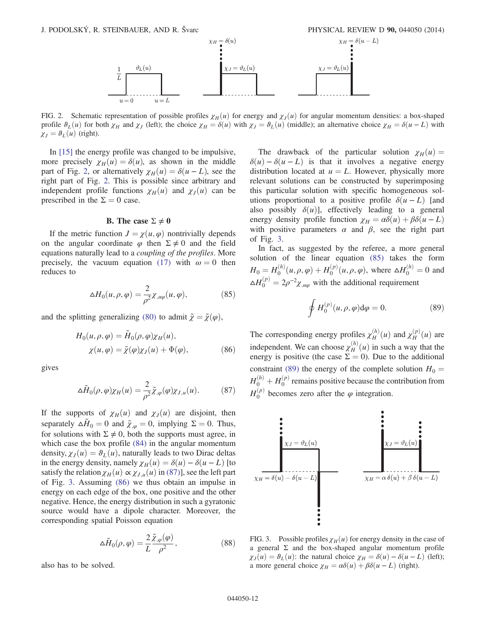<span id="page-11-0"></span>

FIG. 2. Schematic representation of possible profiles  $\chi_H(u)$  for energy and  $\chi_J(u)$  for angular momentum densities: a box-shaped profile  $\theta_L(u)$  for both  $\chi_H$  and  $\chi_J$  (left); the choice  $\chi_H = \delta(u)$  with  $\chi_J = \delta_L(u)$  (middle); an alternative choice  $\chi_H = \delta(u - L)$  with  $\chi_J = \theta_L(u)$  (right).

In [\[15\]](#page-14-15) the energy profile was changed to be impulsive, more precisely  $\chi_H(u) = \delta(u)$ , as shown in the middle part of Fig. [2](#page-11-0), or alternatively  $\chi_H(u) = \delta(u - L)$ , see the right part of Fig. [2](#page-11-0). This is possible since arbitrary and independent profile functions  $\chi_H(u)$  and  $\chi_J(u)$  can be prescribed in the  $\Sigma = 0$  case.

## B. The case  $\Sigma \neq 0$

<span id="page-11-4"></span>If the metric function  $J = \chi(u, \varphi)$  nontrivially depends on the angular coordinate  $\varphi$  then  $\Sigma \neq 0$  and the field equations naturally lead to a coupling of the profiles. More precisely, the vacuum equation [\(17\)](#page-2-9) with  $\omega = 0$  then reduces to

$$
\Delta H_0(u,\rho,\varphi) = \frac{2}{\rho^2} \chi_{,\mu\varphi}(u,\varphi),\tag{85}
$$

<span id="page-11-3"></span>and the splitting generalizing [\(80\)](#page-10-1) to admit  $\tilde{\chi} = \tilde{\chi}(\varphi)$ ,

$$
H_0(u, \rho, \varphi) = \tilde{H}_0(\rho, \varphi) \chi_H(u),
$$
  
 
$$
\chi(u, \varphi) = \tilde{\chi}(\varphi) \chi_J(u) + \Phi(\varphi),
$$
 (86)

<span id="page-11-1"></span>gives

$$
\Delta \tilde{H}_0(\rho, \varphi) \chi_H(u) = \frac{2}{\rho^2} \tilde{\chi}_{,\varphi}(\varphi) \chi_{J,u}(u). \tag{87}
$$

If the supports of  $\chi_H(u)$  and  $\chi_J(u)$  are disjoint, then separately  $\Delta H_0 = 0$  and  $\tilde{\chi}_{,\varphi} = 0$ , implying  $\Sigma = 0$ . Thus, for solutions with  $\Sigma \neq 0$ , both the supports must agree, in which case the box profile [\(84\)](#page-10-2) in the angular momentum density,  $\chi_I(u) = \vartheta_L(u)$ , naturally leads to two Dirac deltas in the energy density, namely  $\chi_H(u) = \delta(u) - \delta(u - L)$  [to satisfy the relation  $\chi_H(u) \propto \chi_{J,u}(u)$  in [\(87\)](#page-11-1)], see the left part of Fig. [3.](#page-11-2) Assuming [\(86\)](#page-11-3) we thus obtain an impulse in energy on each edge of the box, one positive and the other negative. Hence, the energy distribution in such a gyratonic source would have a dipole character. Moreover, the corresponding spatial Poisson equation

$$
\Delta \tilde{H}_0(\rho, \varphi) = \frac{2 \tilde{\chi}_{,\varphi}(\varphi)}{L \rho^2},\tag{88}
$$

also has to be solved.

The drawback of the particular solution  $\chi_H(u) =$  $\delta(u) - \delta(u - L)$  is that it involves a negative energy distribution located at  $u = L$ . However, physically more relevant solutions can be constructed by superimposing this particular solution with specific homogeneous solutions proportional to a positive profile  $\delta(u - L)$  [and also possibly  $\delta(u)$ ], effectively leading to a general energy density profile function  $\chi_H = \alpha \delta(u) + \beta \delta(u - L)$ with positive parameters  $\alpha$  and  $\beta$ , see the right part of Fig. [3.](#page-11-2)

<span id="page-11-5"></span>In fact, as suggested by the referee, a more general solution of the linear equation [\(85\)](#page-11-4) takes the form  $H_0 = H_0^{(h)}(u, \rho, \varphi) + H_0^{(p)}(u, \rho, \varphi)$ , where  $\Delta H_0^{(h)} = 0$  and  $\Delta H_0^{(p)} = 2\rho^{-2} \chi_{\mu\varphi}$  with the additional requirement

$$
\oint H_0^{(p)}(u,\rho,\varphi)d\varphi = 0.
$$
\n(89)

The corresponding energy profiles  $\chi_H^{(n)}(u)$  and  $\chi_H^{(p)}(u)$  are independent. We can choose  $\chi_H^{(n)}(u)$  in such a way that the energy is positive (the case  $\Sigma = 0$ ). Due to the additional energy is positive (the case  $\Sigma = 0$ ). Due to the additional constraint [\(89\)](#page-11-5) the energy of the complete solution  $H_0 =$  $H_0^{(n)} + H_0^{(p)}$  remains positive because the contribution from  $H_0^{(p)}$  becomes zero after the  $\varphi$  integration.

<span id="page-11-2"></span>

FIG. 3. Possible profiles  $\chi_H(u)$  for energy density in the case of a general  $\Sigma$  and the box-shaped angular momentum profile  $\chi_J(u) = \theta_L(u)$ : the natural choice  $\chi_H = \delta(u) - \delta(u - L)$  (left);<br>a more general choice  $\chi_{tt} = \alpha \delta(u) + \beta \delta(u - L)$  (right) a more general choice  $\chi_H = \alpha \delta(u) + \beta \delta(u - L)$  (right).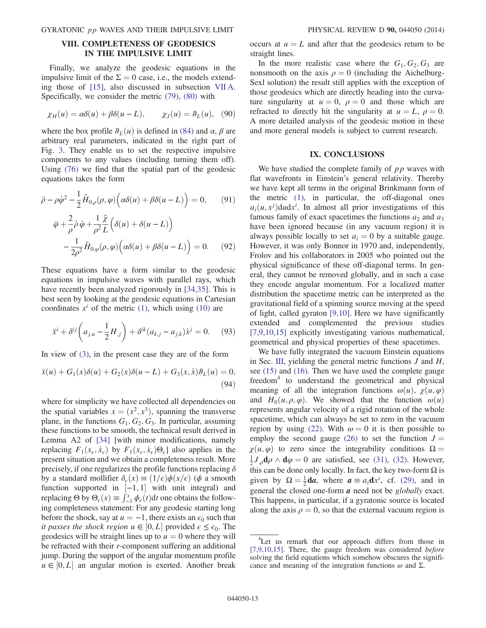# <span id="page-12-0"></span>VIII. COMPLETENESS OF GEODESICS IN THE IMPULSIVE LIMIT

Finally, we analyze the geodesic equations in the impulsive limit of the  $\Sigma = 0$  case, i.e., the models extending those of [\[15\],](#page-14-15) also discussed in subsection [VII A](#page-10-3). Specifically, we consider the metric [\(79\)](#page-10-4), [\(80\)](#page-10-1) with

$$
\chi_H(u) = \alpha \delta(u) + \beta \delta(u - L), \qquad \chi_J(u) = \vartheta_L(u), \tag{90}
$$

where the box profile  $\theta_L(u)$  is defined in [\(84\)](#page-10-2) and  $\alpha$ ,  $\beta$  are arbitrary real parameters, indicated in the right part of Fig. [3](#page-11-2). They enable us to set the respective impulsive components to any values (including turning them off). Using [\(76\)](#page-9-6) we find that the spatial part of the geodesic equations takes the form

$$
\ddot{\rho} - \rho \dot{\phi}^2 - \frac{1}{2} \tilde{H}_{0,\rho}(\rho, \varphi) \left( \alpha \delta(u) + \beta \delta(u - L) \right) = 0, \qquad (91)
$$

$$
\ddot{\varphi} + \frac{2}{\rho} \dot{\rho} \dot{\varphi} + \frac{1}{\rho^2} \frac{\tilde{\chi}}{L} \left( \delta(u) + \delta(u - L) \right)
$$

$$
- \frac{1}{2\rho^2} \tilde{H}_{0,\varphi}(\rho, \varphi) \left( \alpha \delta(u) + \beta \delta(u - L) \right) = 0. \qquad (92)
$$

These equations have a form similar to the geodesic equations in impulsive waves with parallel rays, which have recently been analyzed rigorously in [\[34,35\]](#page-14-17). This is best seen by looking at the geodesic equations in Cartesian coordinates  $x^i$  of the metric [\(1\),](#page-0-3) which using [\(10\)](#page-2-8) are

$$
\ddot{x}^i + \delta^{ij} \left( a_{j,u} - \frac{1}{2} H_{,j} \right) + \delta^{ik} (a_{k,j} - a_{j,k}) \dot{x}^j = 0. \tag{93}
$$

In view of [\(3\),](#page-1-4) in the present case they are of the form

$$
\ddot{x}(u) + G_1(x)\delta(u) + G_2(x)\delta(u - L) + G_3(x, \dot{x})\delta(u) = 0,
$$
\n(94)

where for simplicity we have collected all dependencies on the spatial variables  $x = (x^2, x^3)$ , spanning the transverse plane, in the functions  $G_1, G_2, G_3$ . In particular, assuming these functions to be smooth, the technical result derived in Lemma A2 of [\[34\]](#page-14-17) [with minor modifications, namely replacing  $F_1(x_\epsilon, \dot{x}_\epsilon)$  by  $F_1(x_\epsilon, \dot{x}_\epsilon) \Theta_\epsilon$ ] also applies in the present situation and we obtain a completeness result. More precisely, if one regularizes the profile functions replacing  $\delta$ by a standard mollifier  $\delta_{\epsilon}(x) \equiv (1/\epsilon)\phi(x/\epsilon)$  ( $\phi$  a smooth function supported in  $[-1, 1]$  with unit integral) and replacing  $\Theta$  by  $\Theta_{\epsilon}(x) \equiv \int_{-1}^{x} \phi_{\epsilon}(t) dt$  one obtains the follow-<br>ing completeness statement: For any geodesic starting long ing completeness statement: For any geodesic starting long before the shock, say at  $u = -1$ , there exists an  $\epsilon_0$  such that *it passes the shock region*  $u \in [0, L]$  provided  $\epsilon \leq \epsilon_0$ . The geodesics will be straight lines up to  $u = 0$  where they will be refracted with their r-component suffering an additional jump. During the support of the angular momentum profile  $u \in [0, L]$  an angular motion is exerted. Another break occurs at  $u = L$  and after that the geodesics return to be straight lines.

In the more realistic case where the  $G_1, G_2, G_3$  are nonsmooth on the axis  $\rho = 0$  (including the Aichelburg-Sexl solution) the result still applies with the exception of those geodesics which are directly heading into the curvature singularity at  $u = 0$ ,  $\rho = 0$  and those which are refracted to directly hit the singularity at  $u = L$ ,  $\rho = 0$ . A more detailed analysis of the geodesic motion in these and more general models is subject to current research.

#### IX. CONCLUSIONS

We have studied the complete family of  $pp$  waves with flat wavefronts in Einstein's general relativity. Thereby we have kept all terms in the original Brinkmann form of the metric  $(1)$ , in particular, the off-diagonal ones  $a_i(u, x)$  data is in almost an prior investigations of this<br>famous family of exact spacetimes the functions  $a_2$  and  $a_3$ <br>have been ignored because (in any vacuum region) it is ) dudx<sup>i</sup>. In almost all prior investigations of this family of exact spacetimes the functions  $a_2$  and  $a_3$ have been ignored because (in any vacuum region) it is always possible locally to set  $a_i = 0$  by a suitable gauge. However, it was only Bonnor in 1970 and, independently, Frolov and his collaborators in 2005 who pointed out the physical significance of these off-diagonal terms. In general, they cannot be removed globally, and in such a case they encode angular momentum. For a localized matter distribution the spacetime metric can be interpreted as the gravitational field of a spinning source moving at the speed of light, called gyraton [\[9,10\].](#page-14-6) Here we have significantly extended and complemented the previous studies [\[7,9,10,15\]](#page-14-4) explicitly investigating various mathematical, geometrical and physical properties of these spacetimes.

We have fully integrated the vacuum Einstein equations in Sec. [III](#page-2-0), yielding the general metric functions  $J$  and  $H$ , see [\(15\)](#page-2-4) and [\(16\)](#page-2-5). Then we have used the complete gauge freedom<sup>4</sup> to understand the geometrical and physical meaning of all the integration functions  $\omega(u)$ ,  $\chi(u, \varphi)$ and  $H_0(u, \rho, \varphi)$ . We showed that the function  $\omega(u)$ represents angular velocity of a rigid rotation of the whole spacetime, which can always be set to zero in the vacuum region by using [\(22\).](#page-3-2) With  $\omega = 0$  it is then possible to employ the second gauge [\(26\)](#page-3-8) to set the function  $J =$  $\chi(u, \varphi)$  to zero since the integrability conditions  $\Omega =$  $\frac{1}{2} J_{\rho} d\rho \wedge d\varphi = 0$  are satisfied, see [\(31\),](#page-4-4) [\(32\).](#page-4-7) However, this can be done only locally. In fact, the key two-form  $\Omega$  is given by  $\Omega = \frac{1}{2} d\mathbf{a}$ , where  $\mathbf{a} \equiv a_i dx^i$ , cf. [\(29\)](#page-4-5), and in general the closed one-form  $a$  need not be *globally* exact. This happens, in particular, if a gyratonic source is located along the axis  $\rho = 0$ , so that the external vacuum region is

<sup>&</sup>lt;sup>4</sup>Let us remark that our approach differs from those in [\[7,9,10,15\].](#page-14-4) There, the gauge freedom was considered before solving the field equations which somehow obscures the significance and meaning of the integration functions  $\omega$  and  $\Sigma$ .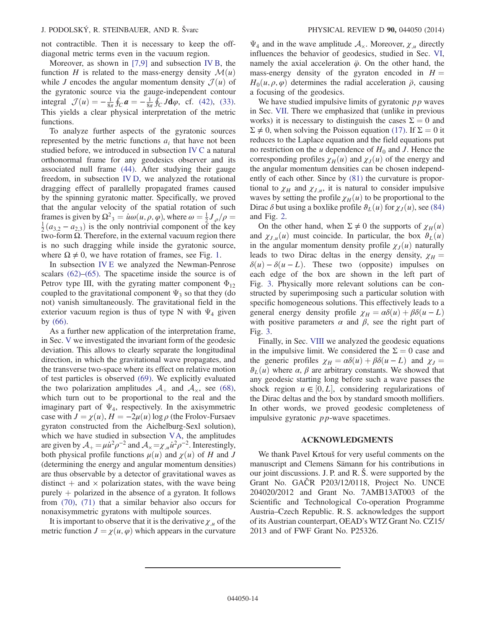not contractible. Then it is necessary to keep the offdiagonal metric terms even in the vacuum region.

Moreover, as shown in [\[7,9\]](#page-14-4) and subsection [IV B,](#page-4-0) the function H is related to the mass-energy density  $\mathcal{M}(u)$ while *J* encodes the angular momentum density  $\mathcal{J}(u)$  of the gyratonic source via the gauge-independent contour integral  $\mathcal{J}(u) = -\frac{1}{8\pi} \oint_C \mathbf{a} = -\frac{1}{8\pi} \oint_C J \mathbf{d}\varphi$ , cf. [\(42\),](#page-5-5) [\(33\)](#page-4-3).<br>This vields a clear physical interpretation of the metric This yields a clear physical interpretation of the metric functions.

To analyze further aspects of the gyratonic sources represented by the metric functions  $a_i$  that have not been studied before, we introduced in subsection [IV C](#page-5-0) a natural orthonormal frame for any geodesics observer and its associated null frame [\(44\).](#page-6-1) After studying their gauge freedom, in subsection [IV D](#page-6-0), we analyzed the rotational dragging effect of parallelly propagated frames caused by the spinning gyratonic matter. Specifically, we proved that the angular velocity of the spatial rotation of such frames is given by  $\Omega^2$ <sub>3</sub> =  $\dot{u}\omega$ (*u*,  $\rho$ ,  $\varphi$ ), where  $\omega = \frac{1}{2}J_{,\rho}/\rho = \frac{1}{2}(\rho_{\rho 2} - \rho_{\rho 3})$  is the only nontrivial component of the key  $\frac{1}{2}$  $(a_{3,2} - a_{2,3})$  is the only nontrivial component of the key two-form Ω. Therefore, in the external vacuum region there is no such dragging while inside the gyratonic source, where  $\Omega \neq 0$ , we have rotation of frames, see Fig. [1.](#page-5-1)

In subsection [IV E](#page-7-0) we analyzed the Newman-Penrose scalars  $(62)$ – $(65)$ . The spacetime inside the source is of Petrov type III, with the gyrating matter component  $\Phi_{12}$ coupled to the gravitational component  $\Psi_3$  so that they (do not) vanish simultaneously. The gravitational field in the exterior vacuum region is thus of type N with  $\Psi_4$  given by [\(66\)](#page-8-5).

As a further new application of the interpretation frame, in Sec. [V](#page-8-0) we investigated the invariant form of the geodesic deviation. This allows to clearly separate the longitudinal direction, in which the gravitational wave propagates, and the transverse two-space where its effect on relative motion of test particles is observed [\(69\).](#page-8-2) We explicitly evaluated the two polarization amplitudes  $A_+$  and  $A_{\times}$ , see [\(68\)](#page-8-4), which turn out to be proportional to the real and the imaginary part of  $\Psi_4$ , respectively. In the axisymmetric case with  $J = \chi(u)$ ,  $H = -2\mu(u) \log \rho$  (the Frolov-Fursaev gyraton constructed from the Aichelburg-Sexl solution), which we have studied in subsection [VA,](#page-9-0) the amplitudes are given by  $A_+ = \mu \dot{u}^2 \rho^{-2}$  and  $A_\times = \chi_\mu \dot{u}^2 \rho^{-2}$ . Interestingly, both physical profile functions  $\mu(u)$  and  $\chi(u)$  of H and J (determining the energy and angular momentum densities) are thus observable by a detector of gravitational waves as distinct  $+$  and  $\times$  polarization states, with the wave being purely  $+$  polarized in the absence of a gyraton. It follows from [\(70\),](#page-8-3) [\(71\)](#page-9-2) that a similar behavior also occurs for nonaxisymmetric gyratons with multipole sources.

It is important to observe that it is the derivative  $\chi_{\mu}$  of the metric function  $J = \chi(u, \varphi)$  which appears in the curvature

 $\Psi_4$  and in the wave amplitude  $A_{\times}$ . Moreover,  $\chi_{\mu}$  directly influences the behavior of geodesics, studied in Sec. [VI](#page-9-1), namely the axial acceleration  $\ddot{\varphi}$ . On the other hand, the mass-energy density of the gyraton encoded in  $H =$  $H_0(u, \rho, \varphi)$  determines the radial acceleration  $\ddot{\rho}$ , causing a focusing of the geodesics.

We have studied impulsive limits of gyratonic  $p p$  waves in Sec. [VII](#page-10-0). There we emphasized that (unlike in previous works) it is necessary to distinguish the cases  $\Sigma = 0$  and  $\Sigma \neq 0$ , when solving the Poisson equation [\(17\).](#page-2-9) If  $\Sigma = 0$  it reduces to the Laplace equation and the field equations put no restriction on the *u* dependence of  $H_0$  and *J*. Hence the corresponding profiles  $\chi_H(u)$  and  $\chi_J(u)$  of the energy and the angular momentum densities can be chosen independently of each other. Since by [\(81\)](#page-10-5) the curvature is proportional to  $\chi_H$  and  $\chi_{J,\mu}$ , it is natural to consider impulsive waves by setting the profile  $\chi_H(u)$  to be proportional to the Dirac  $\delta$  but using a boxlike profile  $\vartheta_L(u)$  for  $\chi_I(u)$ , see [\(84\)](#page-10-2) and Fig. [2](#page-11-0).

On the other hand, when  $\Sigma \neq 0$  the supports of  $\chi_H(u)$ and  $\chi_{J,u}(u)$  must coincide. In particular, the box  $\vartheta_L(u)$ in the angular momentum density profile  $\chi_I(u)$  naturally leads to two Dirac deltas in the energy density,  $\chi_H$  =  $\delta(u) - \delta(u - L)$ . These two (opposite) impulses on each edge of the box are shown in the left part of Fig. [3](#page-11-2). Physically more relevant solutions can be constructed by superimposing such a particular solution with specific homogeneous solutions. This effectively leads to a general energy density profile  $\chi_H = \alpha \delta(u) + \beta \delta(u - L)$ with positive parameters  $\alpha$  and  $\beta$ , see the right part of Fig. [3](#page-11-2).

Finally, in Sec. [VIII](#page-12-0) we analyzed the geodesic equations in the impulsive limit. We considered the  $\Sigma = 0$  case and the generic profiles  $\chi_H = \alpha \delta(u) + \beta \delta(u - L)$  and  $\chi_I =$  $\theta_L(u)$  where  $\alpha$ ,  $\beta$  are arbitrary constants. We showed that any geodesic starting long before such a wave passes the any geodesic starting long before such a wave passes the shock region  $u \in [0, L]$ , considering regularizations of the Dirac deltas and the box by standard smooth mollifiers. In other words, we proved geodesic completeness of impulsive gyratonic pp-wave spacetimes.

#### ACKNOWLEDGMENTS

We thank Pavel Krtouš for very useful comments on the manuscript and Clemens Sämann for his contributions in our joint discussions. J. P. and R. Š. were supported by the Grant No. GAČR P203/12/0118, Project No. UNCE 204020/2012 and Grant No. 7AMB13AT003 of the Scientific and Technological Co-operation Programme Austria–Czech Republic. R. S. acknowledges the support of its Austrian counterpart, OEAD's WTZ Grant No. CZ15/ 2013 and of FWF Grant No. P25326.